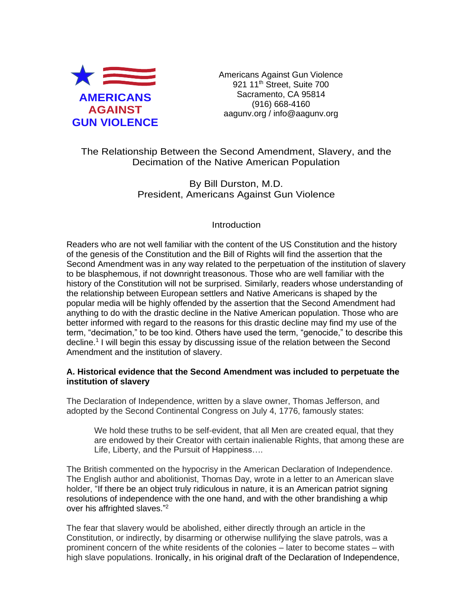

Americans Against Gun Violence 921 11<sup>th</sup> Street, Suite 700 Sacramento, CA 95814 (916) 668-4160 aagunv.org / info@aagunv.org

The Relationship Between the Second Amendment, Slavery, and the Decimation of the Native American Population

> By Bill Durston, M.D. President, Americans Against Gun Violence

# **Introduction**

Readers who are not well familiar with the content of the US Constitution and the history of the genesis of the Constitution and the Bill of Rights will find the assertion that the Second Amendment was in any way related to the perpetuation of the institution of slavery to be blasphemous, if not downright treasonous. Those who are well familiar with the history of the Constitution will not be surprised. Similarly, readers whose understanding of the relationship between European settlers and Native Americans is shaped by the popular media will be highly offended by the assertion that the Second Amendment had anything to do with the drastic decline in the Native American population. Those who are better informed with regard to the reasons for this drastic decline may find my use of the term, "decimation," to be too kind. Others have used the term, "genocide," to describe this decline.<sup>1</sup> I will begin this essay by discussing issue of the relation between the Second Amendment and the institution of slavery.

### **A. Historical evidence that the Second Amendment was included to perpetuate the institution of slavery**

The Declaration of Independence, written by a slave owner, Thomas Jefferson, and adopted by the Second Continental Congress on July 4, 1776, famously states:

We hold these truths to be self-evident, that all Men are created equal, that they are endowed by their Creator with certain inalienable Rights, that among these are Life, Liberty, and the Pursuit of Happiness….

The British commented on the hypocrisy in the American Declaration of Independence. The English author and abolitionist, Thomas Day, wrote in a letter to an American slave holder, "If there be an object truly ridiculous in nature, it is an American patriot signing resolutions of independence with the one hand, and with the other brandishing a whip over his affrighted slaves."<sup>2</sup>

The fear that slavery would be abolished, either directly through an article in the Constitution, or indirectly, by disarming or otherwise nullifying the slave patrols, was a prominent concern of the white residents of the colonies – later to become states – with high slave populations. Ironically, in his original draft of the Declaration of Independence,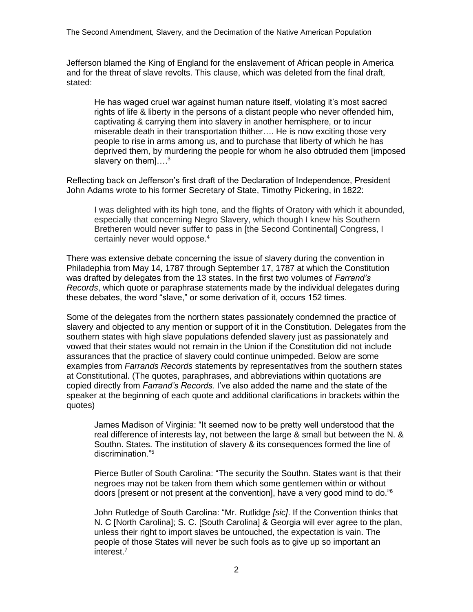Jefferson blamed the King of England for the enslavement of African people in America and for the threat of slave revolts. This clause, which was deleted from the final draft, stated:

He has waged cruel war against human nature itself, violating it's most sacred rights of life & liberty in the persons of a distant people who never offended him, captivating & carrying them into slavery in another hemisphere, or to incur miserable death in their transportation thither…. He is now exciting those very people to rise in arms among us, and to purchase that liberty of which he has deprived them, by murdering the people for whom he also obtruded them [imposed slavery on them].... $^3$ 

Reflecting back on Jefferson's first draft of the Declaration of Independence, President John Adams wrote to his former Secretary of State, Timothy Pickering, in 1822:

I was delighted with its high tone, and the flights of Oratory with which it abounded, especially that concerning Negro Slavery, which though I knew his Southern Bretheren would never suffer to pass in [the Second Continental] Congress, I certainly never would oppose.<sup>4</sup>

There was extensive debate concerning the issue of slavery during the convention in Philadephia from May 14, 1787 through September 17, 1787 at which the Constitution was drafted by delegates from the 13 states. In the first two volumes of *Farrand's Records*, which quote or paraphrase statements made by the individual delegates during these debates, the word "slave," or some derivation of it, occurs 152 times.

Some of the delegates from the northern states passionately condemned the practice of slavery and objected to any mention or support of it in the Constitution. Delegates from the southern states with high slave populations defended slavery just as passionately and vowed that their states would not remain in the Union if the Constitution did not include assurances that the practice of slavery could continue unimpeded. Below are some examples from *Farrands Records* statements by representatives from the southern states at Constitutional. (The quotes, paraphrases, and abbreviations within quotations are copied directly from *Farrand's Records.* I've also added the name and the state of the speaker at the beginning of each quote and additional clarifications in brackets within the quotes)

James Madison of Virginia: "It seemed now to be pretty well understood that the real difference of interests lay, not between the large & small but between the N. & Southn. States. The institution of slavery & its consequences formed the line of discrimination."<sup>5</sup>

Pierce Butler of South Carolina: "The security the Southn. States want is that their negroes may not be taken from them which some gentlemen within or without doors [present or not present at the convention], have a very good mind to do."<sup>6</sup>

John Rutledge of South Carolina: "Mr. Rutlidge *[sic]*. If the Convention thinks that N. C [North Carolina]; S. C. [South Carolina] & Georgia will ever agree to the plan, unless their right to import slaves be untouched, the expectation is vain. The people of those States will never be such fools as to give up so important an interest.7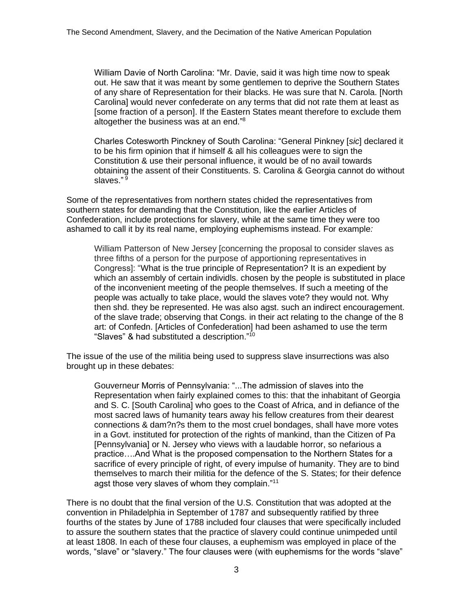William Davie of North Carolina: "Mr. Davie, said it was high time now to speak out. He saw that it was meant by some gentlemen to deprive the Southern States of any share of Representation for their blacks. He was sure that N. Carola. [North Carolina] would never confederate on any terms that did not rate them at least as [some fraction of a person]. If the Eastern States meant therefore to exclude them altogether the business was at an end."<sup>8</sup>

Charles Cotesworth Pinckney of South Carolina: "General Pinkney [*sic*] declared it to be his firm opinion that if himself & all his colleagues were to sign the Constitution & use their personal influence, it would be of no avail towards obtaining the assent of their Constituents. S. Carolina & Georgia cannot do without slaves." <sup>9</sup>

Some of the representatives from northern states chided the representatives from southern states for demanding that the Constitution, like the earlier Articles of Confederation, include protections for slavery, while at the same time they were too ashamed to call it by its real name, employing euphemisms instead. For example*:*

William Patterson of New Jersey [concerning the proposal to consider slaves as three fifths of a person for the purpose of apportioning representatives in Congress]: "What is the true principle of Representation? It is an expedient by which an assembly of certain individls. chosen by the people is substituted in place of the inconvenient meeting of the people themselves. If such a meeting of the people was actually to take place, would the slaves vote? they would not. Why then shd. they be represented. He was also agst. such an indirect encouragement. of the slave trade; observing that Congs. in their act relating to the change of the 8 art: of Confedn. [Articles of Confederation] had been ashamed to use the term "Slaves" & had substituted a description."<sup>10</sup>

The issue of the use of the militia being used to suppress slave insurrections was also brought up in these debates:

Gouverneur Morris of Pennsylvania: "...The admission of slaves into the Representation when fairly explained comes to this: that the inhabitant of Georgia and S. C. [South Carolina] who goes to the Coast of Africa, and in defiance of the most sacred laws of humanity tears away his fellow creatures from their dearest connections & dam?n?s them to the most cruel bondages, shall have more votes in a Govt. instituted for protection of the rights of mankind, than the Citizen of Pa [Pennsylvania] or N. Jersey who views with a laudable horror, so nefarious a practice….And What is the proposed compensation to the Northern States for a sacrifice of every principle of right, of every impulse of humanity. They are to bind themselves to march their militia for the defence of the S. States; for their defence agst those very slaves of whom they complain."<sup>11</sup>

There is no doubt that the final version of the U.S. Constitution that was adopted at the convention in Philadelphia in September of 1787 and subsequently ratified by three fourths of the states by June of 1788 included four clauses that were specifically included to assure the southern states that the practice of slavery could continue unimpeded until at least 1808. In each of these four clauses, a euphemism was employed in place of the words, "slave" or "slavery." The four clauses were (with euphemisms for the words "slave"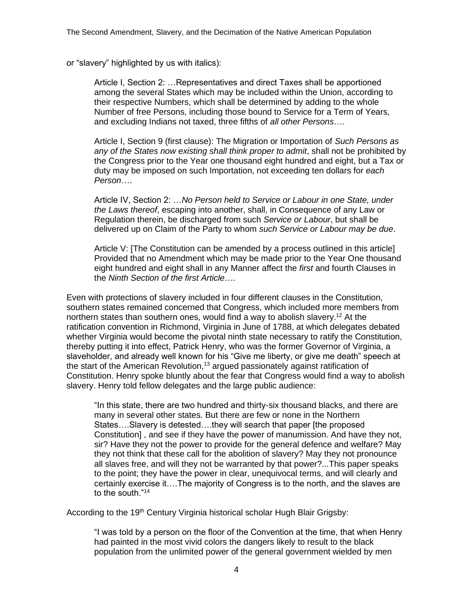or "slavery" highlighted by us with italics):

Article I, Section 2: …Representatives and direct Taxes shall be apportioned among the several States which may be included within the Union, according to their respective Numbers, which shall be determined by adding to the whole Number of free Persons, including those bound to Service for a Term of Years, and excluding Indians not taxed, three fifths of *all other Persons*….

Article I, Section 9 (first clause): The Migration or Importation of *Such Persons as any of the States now existing shall think proper to admit*, shall not be prohibited by the Congress prior to the Year one thousand eight hundred and eight, but a Tax or duty may be imposed on such Importation, not exceeding ten dollars for *each Person*….

Article IV, Section 2: …*No Person held to Service or Labour in one State, under the Laws thereof*, escaping into another, shall, in Consequence of any Law or Regulation therein, be discharged from such *Service or Labour*, but shall be delivered up on Claim of the Party to whom *such Service or Labour may be due*.

Article V: [The Constitution can be amended by a process outlined in this article] Provided that no Amendment which may be made prior to the Year One thousand eight hundred and eight shall in any Manner affect the *first* and fourth Clauses in the *Ninth Section of the first Article*….

Even with protections of slavery included in four different clauses in the Constitution, southern states remained concerned that Congress, which included more members from northern states than southern ones, would find a way to abolish slavery.<sup>12</sup> At the ratification convention in Richmond, Virginia in June of 1788, at which delegates debated whether Virginia would become the pivotal ninth state necessary to ratify the Constitution, thereby putting it into effect, Patrick Henry, who was the former Governor of Virginia, a slaveholder, and already well known for his "Give me liberty, or give me death" speech at the start of the American Revolution,<sup>13</sup> argued passionately against ratification of Constitution. Henry spoke bluntly about the fear that Congress would find a way to abolish slavery. Henry told fellow delegates and the large public audience:

"In this state, there are two hundred and thirty-six thousand blacks, and there are many in several other states. But there are few or none in the Northern States….Slavery is detested….they will search that paper [the proposed Constitution] , and see if they have the power of manumission. And have they not, sir? Have they not the power to provide for the general defence and welfare? May they not think that these call for the abolition of slavery? May they not pronounce all slaves free, and will they not be warranted by that power?...This paper speaks to the point; they have the power in clear, unequivocal terms, and will clearly and certainly exercise it….The majority of Congress is to the north, and the slaves are to the south."<sup>14</sup>

According to the 19<sup>th</sup> Century Virginia historical scholar Hugh Blair Grigsby:

"I was told by a person on the floor of the Convention at the time, that when Henry had painted in the most vivid colors the dangers likely to result to the black population from the unlimited power of the general government wielded by men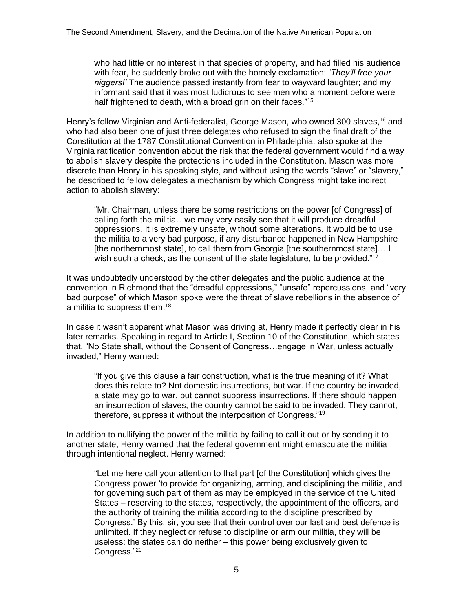who had little or no interest in that species of property, and had filled his audience with fear, he suddenly broke out with the homely exclamation: *'They'll free your niggers!'* The audience passed instantly from fear to wayward laughter; and my informant said that it was most ludicrous to see men who a moment before were half frightened to death, with a broad grin on their faces."<sup>15</sup>

Henry's fellow Virginian and Anti-federalist, George Mason, who owned 300 slaves,<sup>16</sup> and who had also been one of just three delegates who refused to sign the final draft of the Constitution at the 1787 Constitutional Convention in Philadelphia, also spoke at the Virginia ratification convention about the risk that the federal government would find a way to abolish slavery despite the protections included in the Constitution. Mason was more discrete than Henry in his speaking style, and without using the words "slave" or "slavery," he described to fellow delegates a mechanism by which Congress might take indirect action to abolish slavery:

"Mr. Chairman, unless there be some restrictions on the power [of Congress] of calling forth the militia…we may very easily see that it will produce dreadful oppressions. It is extremely unsafe, without some alterations. It would be to use the militia to a very bad purpose, if any disturbance happened in New Hampshire [the northernmost state], to call them from Georgia [the southernmost state]....] wish such a check, as the consent of the state legislature, to be provided."<sup>17</sup>

It was undoubtedly understood by the other delegates and the public audience at the convention in Richmond that the "dreadful oppressions," "unsafe" repercussions, and "very bad purpose" of which Mason spoke were the threat of slave rebellions in the absence of a militia to suppress them.<sup>18</sup>

In case it wasn't apparent what Mason was driving at, Henry made it perfectly clear in his later remarks. Speaking in regard to Article I, Section 10 of the Constitution, which states that, "No State shall, without the Consent of Congress…engage in War, unless actually invaded," Henry warned:

"If you give this clause a fair construction, what is the true meaning of it? What does this relate to? Not domestic insurrections, but war. If the country be invaded, a state may go to war, but cannot suppress insurrections. If there should happen an insurrection of slaves, the country cannot be said to be invaded. They cannot, therefore, suppress it without the interposition of Congress."<sup>19</sup>

In addition to nullifying the power of the militia by failing to call it out or by sending it to another state, Henry warned that the federal government might emasculate the militia through intentional neglect. Henry warned:

"Let me here call your attention to that part [of the Constitution] which gives the Congress power 'to provide for organizing, arming, and disciplining the militia, and for governing such part of them as may be employed in the service of the United States – reserving to the states, respectively, the appointment of the officers, and the authority of training the militia according to the discipline prescribed by Congress.' By this, sir, you see that their control over our last and best defence is unlimited. If they neglect or refuse to discipline or arm our militia, they will be useless: the states can do neither – this power being exclusively given to Congress."20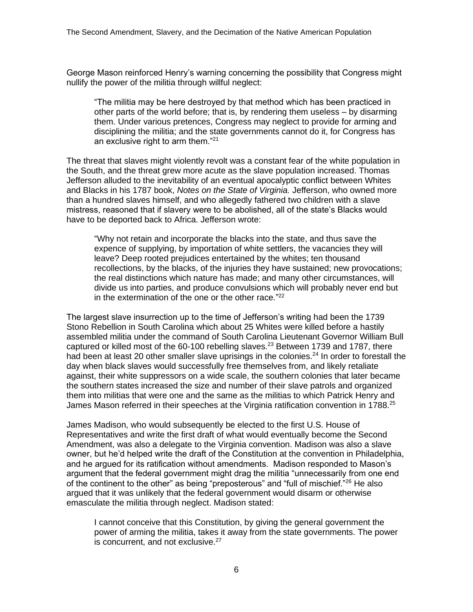George Mason reinforced Henry's warning concerning the possibility that Congress might nullify the power of the militia through willful neglect:

"The militia may be here destroyed by that method which has been practiced in other parts of the world before; that is, by rendering them useless – by disarming them. Under various pretences, Congress may neglect to provide for arming and disciplining the militia; and the state governments cannot do it, for Congress has an exclusive right to arm them."<sup>21</sup>

The threat that slaves might violently revolt was a constant fear of the white population in the South, and the threat grew more acute as the slave population increased. Thomas Jefferson alluded to the inevitability of an eventual apocalyptic conflict between Whites and Blacks in his 1787 book, *Notes on the State of Virginia.* Jefferson, who owned more than a hundred slaves himself, and who allegedly fathered two children with a slave mistress, reasoned that if slavery were to be abolished, all of the state's Blacks would have to be deported back to Africa. Jefferson wrote:

"Why not retain and incorporate the blacks into the state, and thus save the expence of supplying, by importation of white settlers, the vacancies they will leave? Deep rooted prejudices entertained by the whites; ten thousand recollections, by the blacks, of the injuries they have sustained; new provocations; the real distinctions which nature has made; and many other circumstances, will divide us into parties, and produce convulsions which will probably never end but in the extermination of the one or the other race." 22

The largest slave insurrection up to the time of Jefferson's writing had been the 1739 Stono Rebellion in South Carolina which about 25 Whites were killed before a hastily assembled militia under the command of South Carolina Lieutenant Governor William Bull captured or killed most of the  $60-100$  rebelling slaves.<sup>23</sup> Between 1739 and 1787, there had been at least 20 other smaller slave uprisings in the colonies.<sup>24</sup> In order to forestall the day when black slaves would successfully free themselves from, and likely retaliate against, their white suppressors on a wide scale, the southern colonies that later became the southern states increased the size and number of their slave patrols and organized them into militias that were one and the same as the militias to which Patrick Henry and James Mason referred in their speeches at the Virginia ratification convention in 1788.<sup>25</sup>

James Madison, who would subsequently be elected to the first U.S. House of Representatives and write the first draft of what would eventually become the Second Amendment, was also a delegate to the Virginia convention. Madison was also a slave owner, but he'd helped write the draft of the Constitution at the convention in Philadelphia, and he argued for its ratification without amendments. Madison responded to Mason's argument that the federal government might drag the militia "unnecessarily from one end of the continent to the other" as being "preposterous" and "full of mischief."<sup>26</sup> He also argued that it was unlikely that the federal government would disarm or otherwise emasculate the militia through neglect. Madison stated:

I cannot conceive that this Constitution, by giving the general government the power of arming the militia, takes it away from the state governments. The power is concurrent, and not exclusive.<sup>27</sup>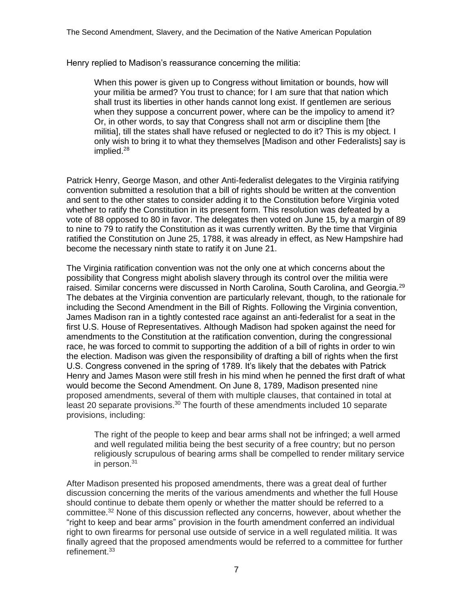Henry replied to Madison's reassurance concerning the militia:

When this power is given up to Congress without limitation or bounds, how will your militia be armed? You trust to chance; for I am sure that that nation which shall trust its liberties in other hands cannot long exist. If gentlemen are serious when they suppose a concurrent power, where can be the impolicy to amend it? Or, in other words, to say that Congress shall not arm or discipline them [the militia], till the states shall have refused or neglected to do it? This is my object. I only wish to bring it to what they themselves [Madison and other Federalists] say is implied.<sup>28</sup>

Patrick Henry, George Mason, and other Anti-federalist delegates to the Virginia ratifying convention submitted a resolution that a bill of rights should be written at the convention and sent to the other states to consider adding it to the Constitution before Virginia voted whether to ratify the Constitution in its present form. This resolution was defeated by a vote of 88 opposed to 80 in favor. The delegates then voted on June 15, by a margin of 89 to nine to 79 to ratify the Constitution as it was currently written. By the time that Virginia ratified the Constitution on June 25, 1788, it was already in effect, as New Hampshire had become the necessary ninth state to ratify it on June 21.

The Virginia ratification convention was not the only one at which concerns about the possibility that Congress might abolish slavery through its control over the militia were raised. Similar concerns were discussed in North Carolina, South Carolina, and Georgia.<sup>29</sup> The debates at the Virginia convention are particularly relevant, though, to the rationale for including the Second Amendment in the Bill of Rights. Following the Virginia convention, James Madison ran in a tightly contested race against an anti-federalist for a seat in the first U.S. House of Representatives. Although Madison had spoken against the need for amendments to the Constitution at the ratification convention, during the congressional race, he was forced to commit to supporting the addition of a bill of rights in order to win the election. Madison was given the responsibility of drafting a bill of rights when the first U.S. Congress convened in the spring of 1789. It's likely that the debates with Patrick Henry and James Mason were still fresh in his mind when he penned the first draft of what would become the Second Amendment. On June 8, 1789, Madison presented nine proposed amendments, several of them with multiple clauses, that contained in total at least 20 separate provisions.<sup>30</sup> The fourth of these amendments included 10 separate provisions, including:

The right of the people to keep and bear arms shall not be infringed; a well armed and well regulated militia being the best security of a free country; but no person religiously scrupulous of bearing arms shall be compelled to render military service in person.<sup>31</sup>

After Madison presented his proposed amendments, there was a great deal of further discussion concerning the merits of the various amendments and whether the full House should continue to debate them openly or whether the matter should be referred to a committee.<sup>32</sup> None of this discussion reflected any concerns, however, about whether the "right to keep and bear arms" provision in the fourth amendment conferred an individual right to own firearms for personal use outside of service in a well regulated militia. It was finally agreed that the proposed amendments would be referred to a committee for further refinement.33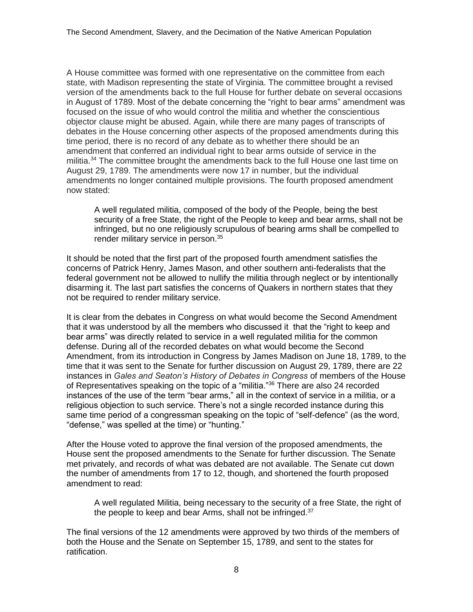A House committee was formed with one representative on the committee from each state, with Madison representing the state of Virginia. The committee brought a revised version of the amendments back to the full House for further debate on several occasions in August of 1789. Most of the debate concerning the "right to bear arms" amendment was focused on the issue of who would control the militia and whether the conscientious objector clause might be abused. Again, while there are many pages of transcripts of debates in the House concerning other aspects of the proposed amendments during this time period, there is no record of any debate as to whether there should be an amendment that conferred an individual right to bear arms outside of service in the militia.<sup>34</sup> The committee brought the amendments back to the full House one last time on August 29, 1789. The amendments were now 17 in number, but the individual amendments no longer contained multiple provisions. The fourth proposed amendment now stated:

A well regulated militia, composed of the body of the People, being the best security of a free State, the right of the People to keep and bear arms, shall not be infringed, but no one religiously scrupulous of bearing arms shall be compelled to render military service in person.<sup>35</sup>

It should be noted that the first part of the proposed fourth amendment satisfies the concerns of Patrick Henry, James Mason, and other southern anti-federalists that the federal government not be allowed to nullify the militia through neglect or by intentionally disarming it. The last part satisfies the concerns of Quakers in northern states that they not be required to render military service.

It is clear from the debates in Congress on what would become the Second Amendment that it was understood by all the members who discussed it that the "right to keep and bear arms" was directly related to service in a well regulated militia for the common defense. During all of the recorded debates on what would become the Second Amendment, from its introduction in Congress by James Madison on June 18, 1789, to the time that it was sent to the Senate for further discussion on August 29, 1789, there are 22 instances in *Gales and Seaton's History of Debates in Congress* of members of the House of Representatives speaking on the topic of a "militia."<sup>36</sup> There are also 24 recorded instances of the use of the term "bear arms," all in the context of service in a militia, or a religious objection to such service. There's not a single recorded instance during this same time period of a congressman speaking on the topic of "self-defence" (as the word, "defense," was spelled at the time) or "hunting."

After the House voted to approve the final version of the proposed amendments, the House sent the proposed amendments to the Senate for further discussion. The Senate met privately, and records of what was debated are not available. The Senate cut down the number of amendments from 17 to 12, though, and shortened the fourth proposed amendment to read:

A well regulated Militia, being necessary to the security of a free State, the right of the people to keep and bear Arms, shall not be infringed.<sup>37</sup>

The final versions of the 12 amendments were approved by two thirds of the members of both the House and the Senate on September 15, 1789, and sent to the states for ratification.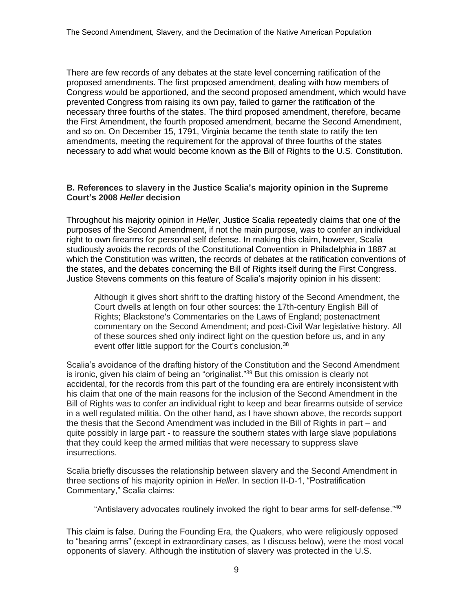There are few records of any debates at the state level concerning ratification of the proposed amendments. The first proposed amendment, dealing with how members of Congress would be apportioned, and the second proposed amendment, which would have prevented Congress from raising its own pay, failed to garner the ratification of the necessary three fourths of the states. The third proposed amendment, therefore, became the First Amendment, the fourth proposed amendment, became the Second Amendment, and so on. On December 15, 1791, Virginia became the tenth state to ratify the ten amendments, meeting the requirement for the approval of three fourths of the states necessary to add what would become known as the Bill of Rights to the U.S. Constitution.

## **B. References to slavery in the Justice Scalia's majority opinion in the Supreme Court's 2008** *Heller* **decision**

Throughout his majority opinion in *Heller*, Justice Scalia repeatedly claims that one of the purposes of the Second Amendment, if not the main purpose, was to confer an individual right to own firearms for personal self defense. In making this claim, however, Scalia studiously avoids the records of the Constitutional Convention in Philadelphia in 1887 at which the Constitution was written, the records of debates at the ratification conventions of the states, and the debates concerning the Bill of Rights itself during the First Congress. Justice Stevens comments on this feature of Scalia's majority opinion in his dissent:

Although it gives short shrift to the drafting history of the Second Amendment, the Court dwells at length on four other sources: the 17th-century English Bill of Rights; Blackstone's Commentaries on the Laws of England; postenactment commentary on the Second Amendment; and post-Civil War legislative history. All of these sources shed only indirect light on the question before us, and in any event offer little support for the Court's conclusion.<sup>38</sup>

Scalia's avoidance of the drafting history of the Constitution and the Second Amendment is ironic, given his claim of being an "originalist."<sup>39</sup> But this omission is clearly not accidental, for the records from this part of the founding era are entirely inconsistent with his claim that one of the main reasons for the inclusion of the Second Amendment in the Bill of Rights was to confer an individual right to keep and bear firearms outside of service in a well regulated militia. On the other hand, as I have shown above, the records support the thesis that the Second Amendment was included in the Bill of Rights in part – and quite possibly in large part - to reassure the southern states with large slave populations that they could keep the armed militias that were necessary to suppress slave insurrections.

Scalia briefly discusses the relationship between slavery and the Second Amendment in three sections of his majority opinion in *Heller.* In section II-D-1, "Postratification Commentary," Scalia claims:

"Antislavery advocates routinely invoked the right to bear arms for self-defense."<sup>40</sup>

This claim is false. During the Founding Era, the Quakers, who were religiously opposed to "bearing arms" (except in extraordinary cases, as I discuss below), were the most vocal opponents of slavery. Although the institution of slavery was protected in the U.S.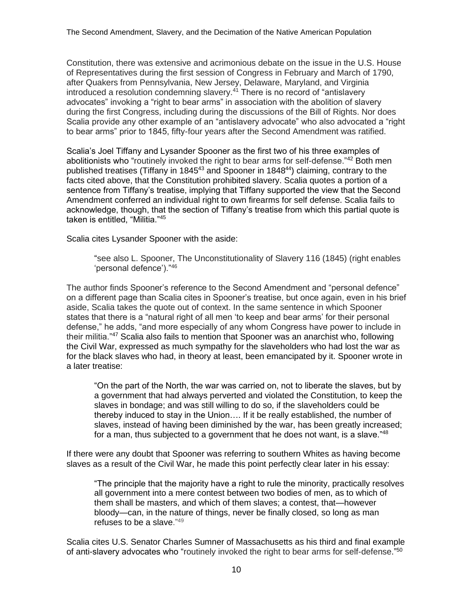Constitution, there was extensive and acrimonious debate on the issue in the U.S. House of Representatives during the first session of Congress in February and March of 1790, after Quakers from Pennsylvania, New Jersey, Delaware, Maryland, and Virginia introduced a resolution condemning slavery. $41$  There is no record of "antislavery advocates" invoking a "right to bear arms" in association with the abolition of slavery during the first Congress, including during the discussions of the Bill of Rights. Nor does Scalia provide any other example of an "antislavery advocate" who also advocated a "right to bear arms" prior to 1845, fifty-four years after the Second Amendment was ratified.

Scalia's Joel Tiffany and Lysander Spooner as the first two of his three examples of abolitionists who "routinely invoked the right to bear arms for self-defense."<sup>42</sup> Both men published treatises (Tiffany in 1845<sup>43</sup> and Spooner in 1848<sup>44</sup>) claiming, contrary to the facts cited above, that the Constitution prohibited slavery. Scalia quotes a portion of a sentence from Tiffany's treatise, implying that Tiffany supported the view that the Second Amendment conferred an individual right to own firearms for self defense. Scalia fails to acknowledge, though, that the section of Tiffany's treatise from which this partial quote is taken is entitled, "Militia."<sup>45</sup>

Scalia cites Lysander Spooner with the aside:

"see also L. Spooner, The Unconstitutionality of Slavery 116 (1845) (right enables 'personal defence')."<sup>46</sup>

The author finds Spooner's reference to the Second Amendment and "personal defence" on a different page than Scalia cites in Spooner's treatise, but once again, even in his brief aside, Scalia takes the quote out of context. In the same sentence in which Spooner states that there is a "natural right of all men 'to keep and bear arms' for their personal defense," he adds, "and more especially of any whom Congress have power to include in their militia."<sup>47</sup> Scalia also fails to mention that Spooner was an anarchist who, following the Civil War, expressed as much sympathy for the slaveholders who had lost the war as for the black slaves who had, in theory at least, been emancipated by it. Spooner wrote in a later treatise:

"On the part of the North, the war was carried on, not to liberate the slaves, but by a government that had always perverted and violated the Constitution, to keep the slaves in bondage; and was still willing to do so, if the slaveholders could be thereby induced to stay in the Union…. If it be really established, the number of slaves, instead of having been diminished by the war, has been greatly increased; for a man, thus subjected to a government that he does not want, is a slave." $48$ 

If there were any doubt that Spooner was referring to southern Whites as having become slaves as a result of the Civil War, he made this point perfectly clear later in his essay:

"The principle that the majority have a right to rule the minority, practically resolves all government into a mere contest between two bodies of men, as to which of them shall be masters, and which of them slaves; a contest, that—however bloody—can, in the nature of things, never be finally closed, so long as man refuses to be a slave."<sup>49</sup>

Scalia cites U.S. Senator Charles Sumner of Massachusetts as his third and final example of anti-slavery advocates who "routinely invoked the right to bear arms for self-defense."50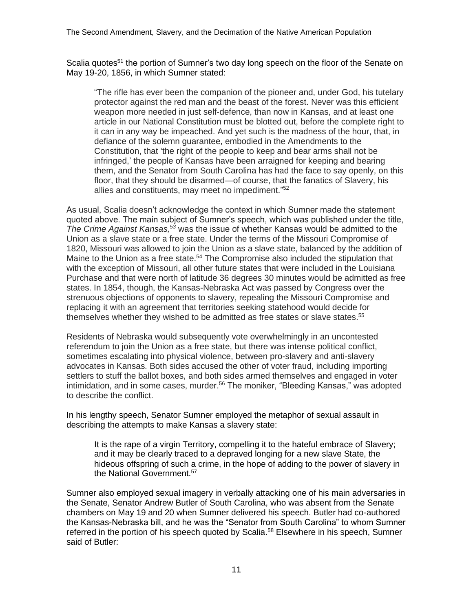Scalia quotes<sup>51</sup> the portion of Sumner's two day long speech on the floor of the Senate on May 19-20, 1856, in which Sumner stated:

"The rifle has ever been the companion of the pioneer and, under God, his tutelary protector against the red man and the beast of the forest. Never was this efficient weapon more needed in just self-defence, than now in Kansas, and at least one article in our National Constitution must be blotted out, before the complete right to it can in any way be impeached. And yet such is the madness of the hour, that, in defiance of the solemn guarantee, embodied in the Amendments to the Constitution, that 'the right of the people to keep and bear arms shall not be infringed,' the people of Kansas have been arraigned for keeping and bearing them, and the Senator from South Carolina has had the face to say openly, on this floor, that they should be disarmed—of course, that the fanatics of Slavery, his allies and constituents, may meet no impediment." 52

As usual, Scalia doesn't acknowledge the context in which Sumner made the statement quoted above. The main subject of Sumner's speech, which was published under the title, *The Crime Against Kansas,<sup>53</sup>* was the issue of whether Kansas would be admitted to the Union as a slave state or a free state. Under the terms of the Missouri Compromise of 1820, Missouri was allowed to join the Union as a slave state, balanced by the addition of Maine to the Union as a free state.<sup>54</sup> The Compromise also included the stipulation that with the exception of Missouri, all other future states that were included in the Louisiana Purchase and that were north of latitude 36 degrees 30 minutes would be admitted as free states. In 1854, though, the Kansas-Nebraska Act was passed by Congress over the strenuous objections of opponents to slavery, repealing the Missouri Compromise and replacing it with an agreement that territories seeking statehood would decide for themselves whether they wished to be admitted as free states or slave states.<sup>55</sup>

Residents of Nebraska would subsequently vote overwhelmingly in an uncontested referendum to join the Union as a free state, but there was intense political conflict, sometimes escalating into physical violence, between pro-slavery and anti-slavery advocates in Kansas. Both sides accused the other of voter fraud, including importing settlers to stuff the ballot boxes, and both sides armed themselves and engaged in voter intimidation, and in some cases, murder.<sup>56</sup> The moniker, "Bleeding Kansas," was adopted to describe the conflict.

In his lengthy speech, Senator Sumner employed the metaphor of sexual assault in describing the attempts to make Kansas a slavery state:

It is the rape of a virgin Territory, compelling it to the hateful embrace of Slavery; and it may be clearly traced to a depraved longing for a new slave State, the hideous offspring of such a crime, in the hope of adding to the power of slavery in the National Government.<sup>57</sup>

Sumner also employed sexual imagery in verbally attacking one of his main adversaries in the Senate, Senator Andrew Butler of South Carolina, who was absent from the Senate chambers on May 19 and 20 when Sumner delivered his speech. Butler had co-authored the Kansas-Nebraska bill, and he was the "Senator from South Carolina" to whom Sumner referred in the portion of his speech quoted by Scalia.<sup>58</sup> Elsewhere in his speech, Sumner said of Butler: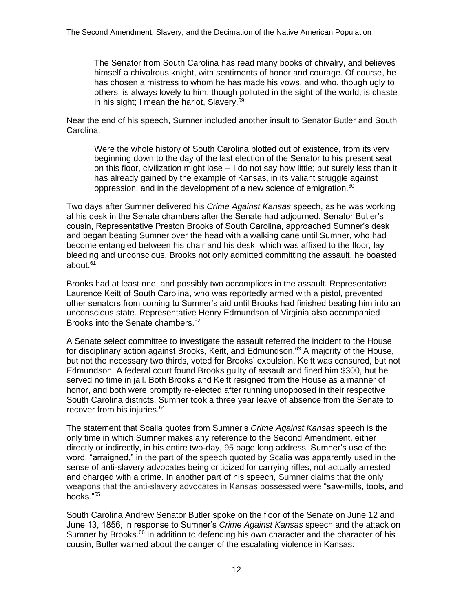The Senator from South Carolina has read many books of chivalry, and believes himself a chivalrous knight, with sentiments of honor and courage. Of course, he has chosen a mistress to whom he has made his vows, and who, though ugly to others, is always lovely to him; though polluted in the sight of the world, is chaste in his sight; I mean the harlot, Slavery.<sup>59</sup>

Near the end of his speech, Sumner included another insult to Senator Butler and South Carolina:

Were the whole history of South Carolina blotted out of existence, from its very beginning down to the day of the last election of the Senator to his present seat on this floor, civilization might lose -- I do not say how little; but surely less than it has already gained by the example of Kansas, in its valiant struggle against oppression, and in the development of a new science of emigration.<sup>60</sup>

Two days after Sumner delivered his *Crime Against Kansas* speech, as he was working at his desk in the Senate chambers after the Senate had adjourned, Senator Butler's cousin, Representative Preston Brooks of South Carolina, approached Sumner's desk and began beating Sumner over the head with a walking cane until Sumner, who had become entangled between his chair and his desk, which was affixed to the floor, lay bleeding and unconscious. Brooks not only admitted committing the assault, he boasted about.<sup>61</sup>

Brooks had at least one, and possibly two accomplices in the assault. Representative Laurence Keitt of South Carolina, who was reportedly armed with a pistol, prevented other senators from coming to Sumner's aid until Brooks had finished beating him into an unconscious state. Representative Henry Edmundson of Virginia also accompanied Brooks into the Senate chambers.<sup>62</sup>

A Senate select committee to investigate the assault referred the incident to the House for disciplinary action against Brooks, Keitt, and Edmundson.<sup>63</sup> A majority of the House, but not the necessary two thirds, voted for Brooks' expulsion. Keitt was censured, but not Edmundson. A federal court found Brooks guilty of assault and fined him \$300, but he served no time in jail. Both Brooks and Keitt resigned from the House as a manner of honor, and both were promptly re-elected after running unopposed in their respective South Carolina districts. Sumner took a three year leave of absence from the Senate to recover from his injuries.<sup>64</sup>

The statement that Scalia quotes from Sumner's *Crime Against Kansas* speech is the only time in which Sumner makes any reference to the Second Amendment, either directly or indirectly, in his entire two-day, 95 page long address. Sumner's use of the word, "arraigned," in the part of the speech quoted by Scalia was apparently used in the sense of anti-slavery advocates being criticized for carrying rifles, not actually arrested and charged with a crime. In another part of his speech, Sumner claims that the only weapons that the anti-slavery advocates in Kansas possessed were "saw-mills, tools, and books."<sup>65</sup>

South Carolina Andrew Senator Butler spoke on the floor of the Senate on June 12 and June 13, 1856, in response to Sumner's *Crime Against Kansas* speech and the attack on Sumner by Brooks.<sup>66</sup> In addition to defending his own character and the character of his cousin, Butler warned about the danger of the escalating violence in Kansas: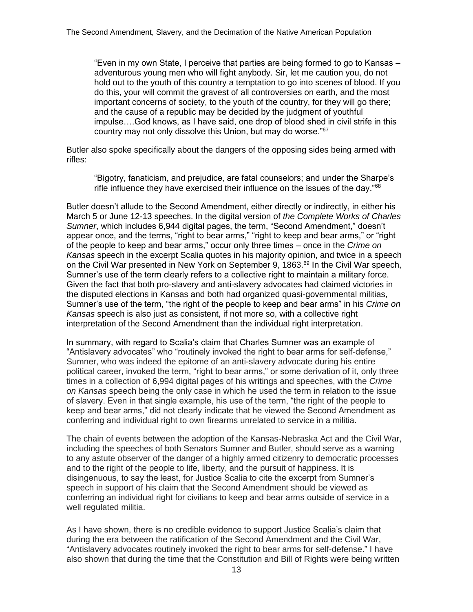"Even in my own State, I perceive that parties are being formed to go to Kansas – adventurous young men who will fight anybody. Sir, let me caution you, do not hold out to the youth of this country a temptation to go into scenes of blood. If you do this, your will commit the gravest of all controversies on earth, and the most important concerns of society, to the youth of the country, for they will go there; and the cause of a republic may be decided by the judgment of youthful impulse….God knows, as I have said, one drop of blood shed in civil strife in this country may not only dissolve this Union, but may do worse."<sup>67</sup>

Butler also spoke specifically about the dangers of the opposing sides being armed with rifles:

"Bigotry, fanaticism, and prejudice, are fatal counselors; and under the Sharpe's rifle influence they have exercised their influence on the issues of the day."<sup>68</sup>

Butler doesn't allude to the Second Amendment, either directly or indirectly, in either his March 5 or June 12-13 speeches. In the digital version of *the Complete Works of Charles Sumner*, which includes 6,944 digital pages, the term, "Second Amendment," doesn't appear once, and the terms, "right to bear arms," "right to keep and bear arms," or "right of the people to keep and bear arms," occur only three times – once in the *Crime on Kansas* speech in the excerpt Scalia quotes in his majority opinion, and twice in a speech on the Civil War presented in New York on September 9, 1863.<sup>69</sup> In the Civil War speech, Sumner's use of the term clearly refers to a collective right to maintain a military force. Given the fact that both pro-slavery and anti-slavery advocates had claimed victories in the disputed elections in Kansas and both had organized quasi-governmental militias, Sumner's use of the term, "the right of the people to keep and bear arms" in his *Crime on Kansas* speech is also just as consistent, if not more so, with a collective right interpretation of the Second Amendment than the individual right interpretation.

In summary, with regard to Scalia's claim that Charles Sumner was an example of "Antislavery advocates" who "routinely invoked the right to bear arms for self-defense," Sumner, who was indeed the epitome of an anti-slavery advocate during his entire political career, invoked the term, "right to bear arms," or some derivation of it, only three times in a collection of 6,994 digital pages of his writings and speeches, with the *Crime on Kansas* speech being the only case in which he used the term in relation to the issue of slavery. Even in that single example, his use of the term, "the right of the people to keep and bear arms," did not clearly indicate that he viewed the Second Amendment as conferring and individual right to own firearms unrelated to service in a militia.

The chain of events between the adoption of the Kansas-Nebraska Act and the Civil War, including the speeches of both Senators Sumner and Butler, should serve as a warning to any astute observer of the danger of a highly armed citizenry to democratic processes and to the right of the people to life, liberty, and the pursuit of happiness. It is disingenuous, to say the least, for Justice Scalia to cite the excerpt from Sumner's speech in support of his claim that the Second Amendment should be viewed as conferring an individual right for civilians to keep and bear arms outside of service in a well regulated militia.

As I have shown, there is no credible evidence to support Justice Scalia's claim that during the era between the ratification of the Second Amendment and the Civil War, "Antislavery advocates routinely invoked the right to bear arms for self-defense." I have also shown that during the time that the Constitution and Bill of Rights were being written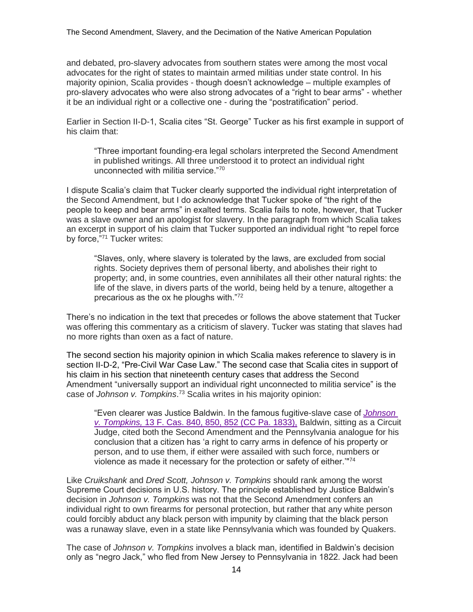and debated, pro-slavery advocates from southern states were among the most vocal advocates for the right of states to maintain armed militias under state control. In his majority opinion, Scalia provides - though doesn't acknowledge – multiple examples of pro-slavery advocates who were also strong advocates of a "right to bear arms" - whether it be an individual right or a collective one - during the "postratification" period.

Earlier in Section II-D-1, Scalia cites "St. George" Tucker as his first example in support of his claim that:

"Three important founding-era legal scholars interpreted the Second Amendment in published writings. All three understood it to protect an individual right unconnected with militia service."<sup>70</sup>

I dispute Scalia's claim that Tucker clearly supported the individual right interpretation of the Second Amendment, but I do acknowledge that Tucker spoke of "the right of the people to keep and bear arms" in exalted terms. Scalia fails to note, however, that Tucker was a slave owner and an apologist for slavery. In the paragraph from which Scalia takes an excerpt in support of his claim that Tucker supported an individual right "to repel force by force,"71 Tucker writes:

"Slaves, only, where slavery is tolerated by the laws, are excluded from social rights. Society deprives them of personal liberty, and abolishes their right to property; and, in some countries, even annihilates all their other natural rights: the life of the slave, in divers parts of the world, being held by a tenure, altogether a precarious as the ox he ploughs with."<sup>72</sup>

There's no indication in the text that precedes or follows the above statement that Tucker was offering this commentary as a criticism of slavery. Tucker was stating that slaves had no more rights than oxen as a fact of nature.

The second section his majority opinion in which Scalia makes reference to slavery is in section II-D-2, "Pre-Civil War Case Law." The second case that Scalia cites in support of his claim in his section that nineteenth century cases that address the Second Amendment "universally support an individual right unconnected to militia service" is the case of *Johnson v. Tompkins*. <sup>73</sup> Scalia writes in his majority opinion:

"Even clearer was Justice Baldwin. In the famous fugitive-slave case of *[Johnson](https://scholar.google.com/scholar_case?about=16216331119150672572&q=district+of+columbia+v+heller&hl=en&as_sdt=2006)  v. Tompkins,* [13 F. Cas. 840, 850, 852 \(CC Pa. 1833\),](https://scholar.google.com/scholar_case?about=16216331119150672572&q=district+of+columbia+v+heller&hl=en&as_sdt=2006) Baldwin, sitting as a Circuit Judge, cited both the Second Amendment and the Pennsylvania analogue for his conclusion that a citizen has 'a right to carry arms in defence of his property or person, and to use them, if either were assailed with such force, numbers or violence as made it necessary for the protection or safety of either.'"<sup>74</sup>

Like *Cruikshank* and *Dred Scott, Johnson v. Tompkins* should rank among the worst Supreme Court decisions in U.S. history. The principle established by Justice Baldwin's decision in *Johnson v. Tompkins* was not that the Second Amendment confers an individual right to own firearms for personal protection, but rather that any white person could forcibly abduct any black person with impunity by claiming that the black person was a runaway slave, even in a state like Pennsylvania which was founded by Quakers.

The case of *Johnson v. Tompkins* involves a black man, identified in Baldwin's decision only as "negro Jack," who fled from New Jersey to Pennsylvania in 1822. Jack had been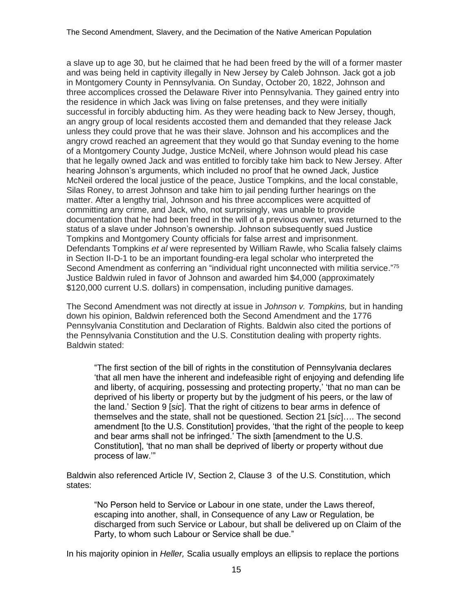a slave up to age 30, but he claimed that he had been freed by the will of a former master and was being held in captivity illegally in New Jersey by Caleb Johnson. Jack got a job in Montgomery County in Pennsylvania. On Sunday, October 20, 1822, Johnson and three accomplices crossed the Delaware River into Pennsylvania. They gained entry into the residence in which Jack was living on false pretenses, and they were initially successful in forcibly abducting him. As they were heading back to New Jersey, though, an angry group of local residents accosted them and demanded that they release Jack unless they could prove that he was their slave. Johnson and his accomplices and the angry crowd reached an agreement that they would go that Sunday evening to the home of a Montgomery County Judge, Justice McNeil, where Johnson would plead his case that he legally owned Jack and was entitled to forcibly take him back to New Jersey. After hearing Johnson's arguments, which included no proof that he owned Jack, Justice McNeil ordered the local justice of the peace, Justice Tompkins, and the local constable, Silas Roney, to arrest Johnson and take him to jail pending further hearings on the matter. After a lengthy trial, Johnson and his three accomplices were acquitted of committing any crime, and Jack, who, not surprisingly, was unable to provide documentation that he had been freed in the will of a previous owner, was returned to the status of a slave under Johnson's ownership. Johnson subsequently sued Justice Tompkins and Montgomery County officials for false arrest and imprisonment. Defendants Tompkins *et al* were represented by William Rawle, who Scalia falsely claims in Section II-D-1 to be an important founding-era legal scholar who interpreted the Second Amendment as conferring an "individual right unconnected with militia service."75 Justice Baldwin ruled in favor of Johnson and awarded him \$4,000 (approximately \$120,000 current U.S. dollars) in compensation, including punitive damages.

The Second Amendment was not directly at issue in *Johnson v. Tompkins,* but in handing down his opinion, Baldwin referenced both the Second Amendment and the 1776 Pennsylvania Constitution and Declaration of Rights. Baldwin also cited the portions of the Pennsylvania Constitution and the U.S. Constitution dealing with property rights. Baldwin stated:

"The first section of the bill of rights in the constitution of Pennsylvania declares 'that all men have the inherent and indefeasible right of enjoying and defending life and liberty, of acquiring, possessing and protecting property,' 'that no man can be deprived of his liberty or property but by the judgment of his peers, or the law of the land.' Section 9 [*sic*]. That the right of citizens to bear arms in defence of themselves and the state, shall not be questioned. Section 21 [*sic*]…. The second amendment [to the U.S. Constitution] provides, 'that the right of the people to keep and bear arms shall not be infringed.' The sixth [amendment to the U.S. Constitution], 'that no man shall be deprived of liberty or property without due process of law.'"

Baldwin also referenced Article IV, Section 2, Clause 3 of the U.S. Constitution, which states:

"No Person held to Service or Labour in one state, under the Laws thereof, escaping into another, shall, in Consequence of any Law or Regulation, be discharged from such Service or Labour, but shall be delivered up on Claim of the Party, to whom such Labour or Service shall be due."

In his majority opinion in *Heller,* Scalia usually employs an ellipsis to replace the portions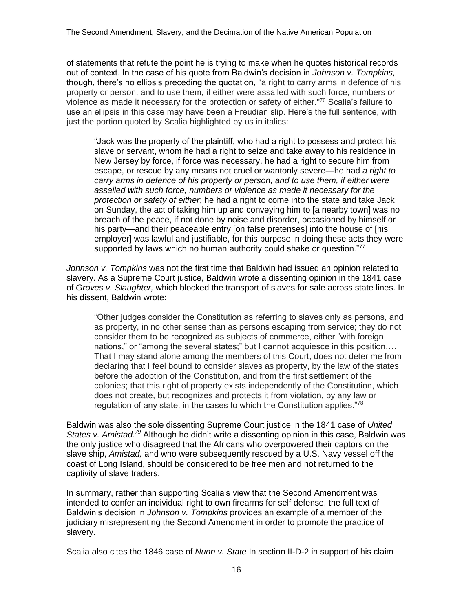of statements that refute the point he is trying to make when he quotes historical records out of context. In the case of his quote from Baldwin's decision in *Johnson v. Tompkins,*  though, there's no ellipsis preceding the quotation, "a right to carry arms in defence of his property or person, and to use them, if either were assailed with such force, numbers or violence as made it necessary for the protection or safety of either."<sup>76</sup> Scalia's failure to use an ellipsis in this case may have been a Freudian slip. Here's the full sentence, with just the portion quoted by Scalia highlighted by us in italics:

"Jack was the property of the plaintiff, who had a right to possess and protect his slave or servant, whom he had a right to seize and take away to his residence in New Jersey by force, if force was necessary, he had a right to secure him from escape, or rescue by any means not cruel or wantonly severe—he had *a right to carry arms in defence of his property or person, and to use them, if either were assailed with such force, numbers or violence as made it necessary for the protection or safety of either*; he had a right to come into the state and take Jack on Sunday, the act of taking him up and conveying him to [a nearby town] was no breach of the peace, if not done by noise and disorder, occasioned by himself or his party—and their peaceable entry [on false pretenses] into the house of [his employer] was lawful and justifiable, for this purpose in doing these acts they were supported by laws which no human authority could shake or question."<sup>77</sup>

*Johnson v. Tompkins* was not the first time that Baldwin had issued an opinion related to slavery. As a Supreme Court justice, Baldwin wrote a dissenting opinion in the 1841 case of *Groves v. Slaughter,* which blocked the transport of slaves for sale across state lines. In his dissent, Baldwin wrote:

"Other judges consider the Constitution as referring to slaves only as persons, and as property, in no other sense than as persons escaping from service; they do not consider them to be recognized as subjects of commerce, either "with foreign nations," or "among the several states;" but I cannot acquiesce in this position…. That I may stand alone among the members of this Court, does not deter me from declaring that I feel bound to consider slaves as property, by the law of the states before the adoption of the Constitution, and from the first settlement of the colonies; that this right of property exists independently of the Constitution, which does not create, but recognizes and protects it from violation, by any law or regulation of any state, in the cases to which the Constitution applies."<sup>78</sup>

Baldwin was also the sole dissenting Supreme Court justice in the 1841 case of *United*  States v. Amistad.<sup>79</sup> Although he didn't write a dissenting opinion in this case, Baldwin was the only justice who disagreed that the Africans who overpowered their captors on the slave ship, *Amistad,* and who were subsequently rescued by a U.S. Navy vessel off the coast of Long Island, should be considered to be free men and not returned to the captivity of slave traders.

In summary, rather than supporting Scalia's view that the Second Amendment was intended to confer an individual right to own firearms for self defense, the full text of Baldwin's decision in *Johnson v. Tompkins* provides an example of a member of the judiciary misrepresenting the Second Amendment in order to promote the practice of slavery.

Scalia also cites the 1846 case of *Nunn v. State* In section II-D-2 in support of his claim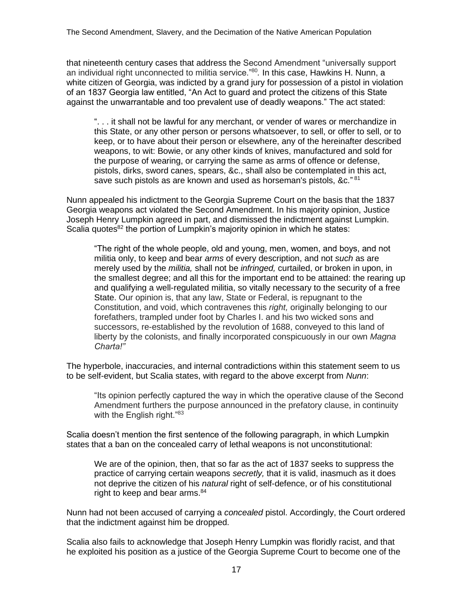that nineteenth century cases that address the Second Amendment "universally support an individual right unconnected to militia service."<sup>80</sup> *.* In this case, Hawkins H. Nunn, a white citizen of Georgia, was indicted by a grand jury for possession of a pistol in violation of an 1837 Georgia law entitled, "An Act to guard and protect the citizens of this State against the unwarrantable and too prevalent use of deadly weapons." The act stated:

". . . it shall not be lawful for any merchant, or vender of wares or merchandize in this State, or any other person or persons whatsoever, to sell, or offer to sell, or to keep, or to have about their person or elsewhere, any of the hereinafter described weapons, to wit: Bowie, or any other kinds of knives, manufactured and sold for the purpose of wearing, or carrying the same as arms of offence or defense, pistols, dirks, sword canes, spears, &c., shall also be contemplated in this act, save such pistols as are known and used as horseman's pistols, &c."<sup>81</sup>

Nunn appealed his indictment to the Georgia Supreme Court on the basis that the 1837 Georgia weapons act violated the Second Amendment. In his majority opinion, Justice Joseph Henry Lumpkin agreed in part, and dismissed the indictment against Lumpkin. Scalia quotes<sup>82</sup> the portion of Lumpkin's majority opinion in which he states:

"The right of the whole people, old and young, men, women, and boys, and not militia only, to keep and bear *arms* of every description, and not *such* as are merely used by the *militia,* shall not be *infringed,* curtailed, or broken in upon, in the smallest degree; and all this for the important end to be attained: the rearing up and qualifying a well-regulated militia, so vitally necessary to the security of a free State. Our opinion is, that any law, State or Federal, is repugnant to the Constitution, and void, which contravenes this *right,* originally belonging to our forefathers, trampled under foot by Charles I. and his two wicked sons and successors, re-established by the revolution of 1688, conveyed to this land of liberty by the colonists, and finally incorporated conspicuously in our own *Magna Charta!"*

The hyperbole, inaccuracies, and internal contradictions within this statement seem to us to be self-evident, but Scalia states, with regard to the above excerpt from *Nunn*:

"Its opinion perfectly captured the way in which the operative clause of the Second Amendment furthers the purpose announced in the prefatory clause, in continuity with the English right."83

Scalia doesn't mention the first sentence of the following paragraph, in which Lumpkin states that a ban on the concealed carry of lethal weapons is not unconstitutional:

We are of the opinion, then, that so far as the act of 1837 seeks to suppress the practice of carrying certain weapons *secretly,* that it is valid, inasmuch as it does not deprive the citizen of his *natural* right of self-defence, or of his constitutional right to keep and bear arms.<sup>84</sup>

Nunn had not been accused of carrying a *concealed* pistol. Accordingly, the Court ordered that the indictment against him be dropped.

Scalia also fails to acknowledge that Joseph Henry Lumpkin was floridly racist, and that he exploited his position as a justice of the Georgia Supreme Court to become one of the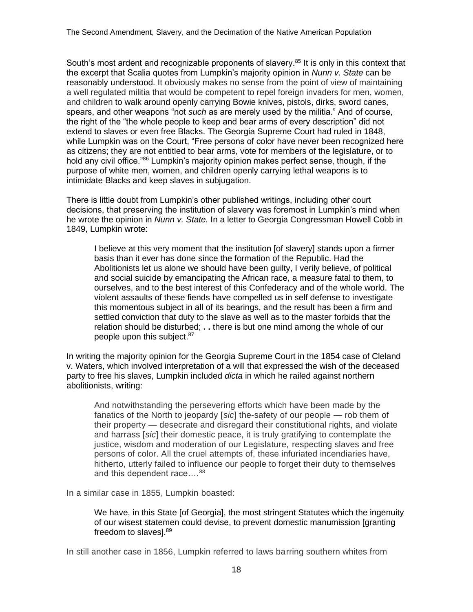South's most ardent and recognizable proponents of slavery.<sup>85</sup> It is only in this context that the excerpt that Scalia quotes from Lumpkin's majority opinion in *Nunn v. State* can be reasonably understood. It obviously makes no sense from the point of view of maintaining a well regulated militia that would be competent to repel foreign invaders for men, women, and children to walk around openly carrying Bowie knives, pistols, dirks, sword canes, spears, and other weapons "not *such* as are merely used by the militia." And of course, the right of the "the whole people to keep and bear arms of every description" did not extend to slaves or even free Blacks. The Georgia Supreme Court had ruled in 1848, while Lumpkin was on the Court, "Free persons of color have never been recognized here as citizens; they are not entitled to bear arms, vote for members of the legislature, or to hold any civil office."<sup>86</sup> Lumpkin's majority opinion makes perfect sense, though, if the purpose of white men, women, and children openly carrying lethal weapons is to intimidate Blacks and keep slaves in subjugation.

There is little doubt from Lumpkin's other published writings, including other court decisions, that preserving the institution of slavery was foremost in Lumpkin's mind when he wrote the opinion in *Nunn v. State.* In a letter to Georgia Congressman Howell Cobb in 1849, Lumpkin wrote:

I believe at this very moment that the institution [of slavery] stands upon a firmer basis than it ever has done since the formation of the Republic. Had the Abolitionists let us alone we should have been guilty, I verily believe, of political and social suicide by emancipating the African race, a measure fatal to them, to ourselves, and to the best interest of this Confederacy and of the whole world. The violent assaults of these fiends have compelled us in self defense to investigate this momentous subject in all of its bearings, and the result has been a firm and settled conviction that duty to the slave as well as to the master forbids that the relation should be disturbed; **. .** there is but one mind among the whole of our people upon this subject.<sup>87</sup>

In writing the majority opinion for the Georgia Supreme Court in the 1854 case of Cleland v. Waters, which involved interpretation of a will that expressed the wish of the deceased party to free his slaves, Lumpkin included *dicta* in which he railed against northern abolitionists, writing:

And notwithstanding the persevering efforts which have been made by the fanatics of the North to jeopardy [*sic*] the-safety of our people — rob them of their property — desecrate and disregard their constitutional rights, and violate and harrass [*sic*] their domestic peace, it is truly gratifying to contemplate the justice, wisdom and moderation of our Legislature, respecting slaves and free persons of color. All the cruel attempts of, these infuriated incendiaries have, hitherto, utterly failed to influence our people to forget their duty to themselves and this dependent race....<sup>88</sup>

In a similar case in 1855, Lumpkin boasted:

We have, in this State [of Georgia], the most stringent Statutes which the ingenuity of our wisest statemen could devise, to prevent domestic manumission [granting freedom to slaves].<sup>89</sup>

In still another case in 1856, Lumpkin referred to laws barring southern whites from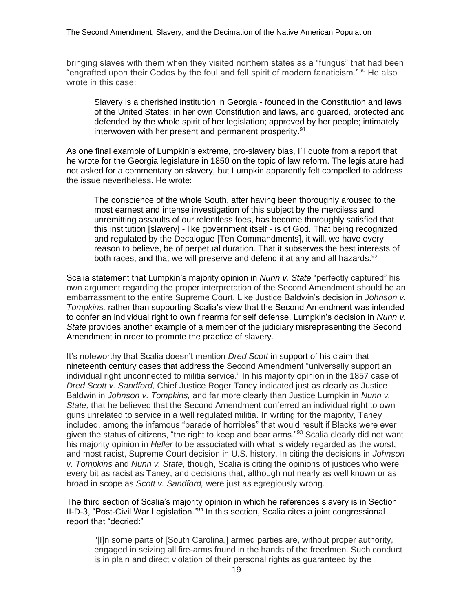bringing slaves with them when they visited northern states as a "fungus" that had been "engrafted upon their Codes by the foul and fell spirit of modern fanaticism." <sup>90</sup> He also wrote in this case:

Slavery is a cherished institution in Georgia - founded in the Constitution and laws of the United States; in her own Constitution and laws, and guarded, protected and defended by the whole spirit of her legislation; approved by her people; intimately interwoven with her present and permanent prosperity.<sup>91</sup>

As one final example of Lumpkin's extreme, pro-slavery bias, I'll quote from a report that he wrote for the Georgia legislature in 1850 on the topic of law reform. The legislature had not asked for a commentary on slavery, but Lumpkin apparently felt compelled to address the issue nevertheless. He wrote:

The conscience of the whole South, after having been thoroughly aroused to the most earnest and intense investigation of this subject by the merciless and unremitting assaults of our relentless foes, has become thoroughly satisfied that this institution [slavery] - like government itself - is of God. That being recognized and regulated by the Decalogue [Ten Commandments], it will, we have every reason to believe, be of perpetual duration. That it subserves the best interests of both races, and that we will preserve and defend it at any and all hazards.<sup>92</sup>

Scalia statement that Lumpkin's majority opinion in *Nunn v. State* "perfectly captured" his own argument regarding the proper interpretation of the Second Amendment should be an embarrassment to the entire Supreme Court. Like Justice Baldwin's decision in *Johnson v. Tompkins,* rather than supporting Scalia's view that the Second Amendment was intended to confer an individual right to own firearms for self defense, Lumpkin's decision in *Nunn v. State* provides another example of a member of the judiciary misrepresenting the Second Amendment in order to promote the practice of slavery.

It's noteworthy that Scalia doesn't mention *Dred Scott* in support of his claim that nineteenth century cases that address the Second Amendment "universally support an individual right unconnected to militia service." In his majority opinion in the 1857 case of *Dred Scott v. Sandford,* Chief Justice Roger Taney indicated just as clearly as Justice Baldwin in *Johnson v. Tompkins,* and far more clearly than Justice Lumpkin in *Nunn v. State,* that he believed that the Second Amendment conferred an individual right to own guns unrelated to service in a well regulated militia. In writing for the majority, Taney included, among the infamous "parade of horribles" that would result if Blacks were ever given the status of citizens, "the right to keep and bear arms."<sup>93</sup> Scalia clearly did not want his majority opinion in *Heller* to be associated with what is widely regarded as the worst, and most racist, Supreme Court decision in U.S. history. In citing the decisions in *Johnson v. Tompkins* and *Nunn v. State*, though, Scalia is citing the opinions of justices who were every bit as racist as Taney, and decisions that, although not nearly as well known or as broad in scope as *Scott v. Sandford,* were just as egregiously wrong.

The third section of Scalia's majority opinion in which he references slavery is in Section II-D-3, "Post-Civil War Legislation."<sup>94</sup> In this section, Scalia cites a joint congressional report that "decried:"

"[I]n some parts of [South Carolina,] armed parties are, without proper authority, engaged in seizing all fire-arms found in the hands of the freedmen. Such conduct is in plain and direct violation of their personal rights as guaranteed by the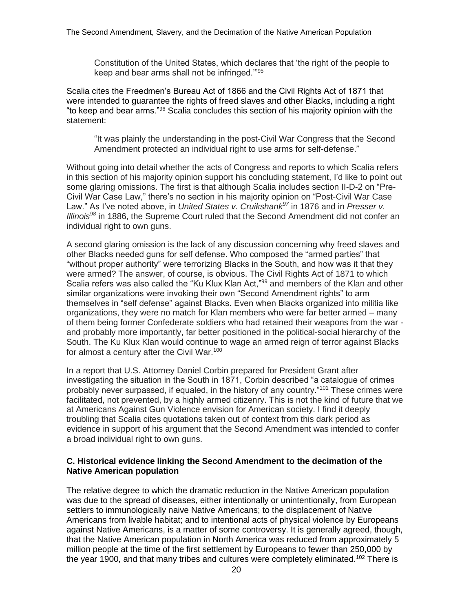Constitution of the United States, which declares that 'the right of the people to keep and bear arms shall not be infringed.'"<sup>95</sup>

Scalia cites the Freedmen's Bureau Act of 1866 and the Civil Rights Act of 1871 that were intended to guarantee the rights of freed slaves and other Blacks, including a right "to keep and bear arms."<sup>96</sup> Scalia concludes this section of his majority opinion with the statement:

"It was plainly the understanding in the post-Civil War Congress that the Second Amendment protected an individual right to use arms for self-defense."

Without going into detail whether the acts of Congress and reports to which Scalia refers in this section of his majority opinion support his concluding statement, I'd like to point out some glaring omissions. The first is that although Scalia includes section II-D-2 on "Pre-Civil War Case Law," there's no section in his majority opinion on "Post-Civil War Case Law." As I've noted above, in *United States v. Cruikshank<sup>97</sup>* in 1876 and in *Presser v. Illinois<sup>98</sup>* in 1886, the Supreme Court ruled that the Second Amendment did not confer an individual right to own guns.

A second glaring omission is the lack of any discussion concerning why freed slaves and other Blacks needed guns for self defense. Who composed the "armed parties" that "without proper authority" were terrorizing Blacks in the South, and how was it that they were armed? The answer, of course, is obvious. The Civil Rights Act of 1871 to which Scalia refers was also called the "Ku Klux Klan Act,"<sup>99</sup> and members of the Klan and other similar organizations were invoking their own "Second Amendment rights" to arm themselves in "self defense" against Blacks. Even when Blacks organized into militia like organizations, they were no match for Klan members who were far better armed – many of them being former Confederate soldiers who had retained their weapons from the war and probably more importantly, far better positioned in the political-social hierarchy of the South. The Ku Klux Klan would continue to wage an armed reign of terror against Blacks for almost a century after the Civil War.<sup>100</sup>

In a report that U.S. Attorney Daniel Corbin prepared for President Grant after investigating the situation in the South in 1871, Corbin described "a catalogue of crimes probably never surpassed, if equaled, in the history of any country."<sup>101</sup> These crimes were facilitated, not prevented, by a highly armed citizenry. This is not the kind of future that we at Americans Against Gun Violence envision for American society. I find it deeply troubling that Scalia cites quotations taken out of context from this dark period as evidence in support of his argument that the Second Amendment was intended to confer a broad individual right to own guns.

### **C. Historical evidence linking the Second Amendment to the decimation of the Native American population**

The relative degree to which the dramatic reduction in the Native American population was due to the spread of diseases, either intentionally or unintentionally, from European settlers to immunologically naive Native Americans; to the displacement of Native Americans from livable habitat; and to intentional acts of physical violence by Europeans against Native Americans, is a matter of some controversy. It is generally agreed, though, that the Native American population in North America was reduced from approximately 5 million people at the time of the first settlement by Europeans to fewer than 250,000 by the year 1900, and that many tribes and cultures were completely eliminated.<sup>102</sup> There is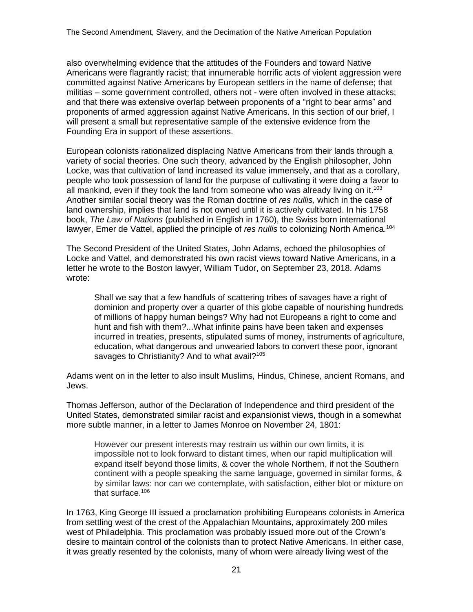also overwhelming evidence that the attitudes of the Founders and toward Native Americans were flagrantly racist; that innumerable horrific acts of violent aggression were committed against Native Americans by European settlers in the name of defense; that militias – some government controlled, others not - were often involved in these attacks; and that there was extensive overlap between proponents of a "right to bear arms" and proponents of armed aggression against Native Americans. In this section of our brief, I will present a small but representative sample of the extensive evidence from the Founding Era in support of these assertions.

European colonists rationalized displacing Native Americans from their lands through a variety of social theories. One such theory, advanced by the English philosopher, John Locke, was that cultivation of land increased its value immensely, and that as a corollary, people who took possession of land for the purpose of cultivating it were doing a favor to all mankind, even if they took the land from someone who was already living on it.<sup>103</sup> Another similar social theory was the Roman doctrine of *res nullis,* which in the case of land ownership, implies that land is not owned until it is actively cultivated. In his 1758 book, *The Law of Nations* (published in English in 1760), the Swiss born international lawyer, Emer de Vattel, applied the principle of *res nullis* to colonizing North America.<sup>104</sup>

The Second President of the United States, John Adams, echoed the philosophies of Locke and Vattel, and demonstrated his own racist views toward Native Americans, in a letter he wrote to the Boston lawyer, William Tudor, on September 23, 2018. Adams wrote:

Shall we say that a few handfuls of scattering tribes of savages have a right of dominion and property over a quarter of this globe capable of nourishing hundreds of millions of happy human beings? Why had not Europeans a right to come and hunt and fish with them?...What infinite pains have been taken and expenses incurred in treaties, presents, stipulated sums of money, instruments of agriculture, education, what dangerous and unwearied labors to convert these poor, ignorant savages to Christianity? And to what avail?<sup>105</sup>

Adams went on in the letter to also insult Muslims, Hindus, Chinese, ancient Romans, and Jews.

Thomas Jefferson, author of the Declaration of Independence and third president of the United States, demonstrated similar racist and expansionist views, though in a somewhat more subtle manner, in a letter to James Monroe on November 24, 1801:

However our present interests may restrain us within our own limits, it is impossible not to look forward to distant times, when our rapid multiplication will expand itself beyond those limits, & cover the whole Northern, if not the Southern continent with a people speaking the same language, governed in similar forms, & by similar laws: nor can we contemplate, with satisfaction, either blot or mixture on that surface.<sup>106</sup>

In 1763, King George III issued a proclamation prohibiting Europeans colonists in America from settling west of the crest of the Appalachian Mountains, approximately 200 miles west of Philadelphia. This proclamation was probably issued more out of the Crown's desire to maintain control of the colonists than to protect Native Americans. In either case, it was greatly resented by the colonists, many of whom were already living west of the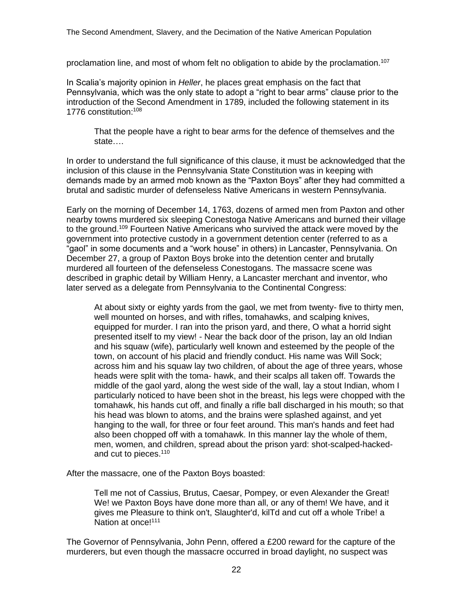proclamation line, and most of whom felt no obligation to abide by the proclamation.<sup>107</sup>

In Scalia's majority opinion in *Heller*, he places great emphasis on the fact that Pennsylvania, which was the only state to adopt a "right to bear arms" clause prior to the introduction of the Second Amendment in 1789, included the following statement in its 1776 constitution:<sup>108</sup>

That the people have a right to bear arms for the defence of themselves and the state….

In order to understand the full significance of this clause, it must be acknowledged that the inclusion of this clause in the Pennsylvania State Constitution was in keeping with demands made by an armed mob known as the "Paxton Boys" after they had committed a brutal and sadistic murder of defenseless Native Americans in western Pennsylvania.

Early on the morning of December 14, 1763, dozens of armed men from Paxton and other nearby towns murdered six sleeping Conestoga Native Americans and burned their village to the ground.<sup>109</sup> Fourteen Native Americans who survived the attack were moved by the government into protective custody in a government detention center (referred to as a "gaol" in some documents and a "work house" in others) in Lancaster, Pennsylvania. On December 27, a group of Paxton Boys broke into the detention center and brutally murdered all fourteen of the defenseless Conestogans. The massacre scene was described in graphic detail by William Henry, a Lancaster merchant and inventor, who later served as a delegate from Pennsylvania to the Continental Congress:

At about sixty or eighty yards from the gaol, we met from twenty- five to thirty men, well mounted on horses, and with rifles, tomahawks, and scalping knives, equipped for murder. I ran into the prison yard, and there, O what a horrid sight presented itself to my view! - Near the back door of the prison, lay an old Indian and his squaw (wife), particularly well known and esteemed by the people of the town, on account of his placid and friendly conduct. His name was Will Sock; across him and his squaw lay two children, of about the age of three years, whose heads were split with the toma- hawk, and their scalps all taken off. Towards the middle of the gaol yard, along the west side of the wall, lay a stout Indian, whom I particularly noticed to have been shot in the breast, his legs were chopped with the tomahawk, his hands cut off, and finally a rifle ball discharged in his mouth; so that his head was blown to atoms, and the brains were splashed against, and yet hanging to the wall, for three or four feet around. This man's hands and feet had also been chopped off with a tomahawk. In this manner lay the whole of them, men, women, and children, spread about the prison yard: shot-scalped-hackedand cut to pieces.<sup>110</sup>

After the massacre, one of the Paxton Boys boasted:

Tell me not of Cassius, Brutus, Caesar, Pompey, or even Alexander the Great! We! we Paxton Boys have done more than all, or any of them! We have, and it gives me Pleasure to think on't, Slaughter'd, kilTd and cut off a whole Tribe! a Nation at once!<sup>111</sup>

The Governor of Pennsylvania, John Penn, offered a £200 reward for the capture of the murderers, but even though the massacre occurred in broad daylight, no suspect was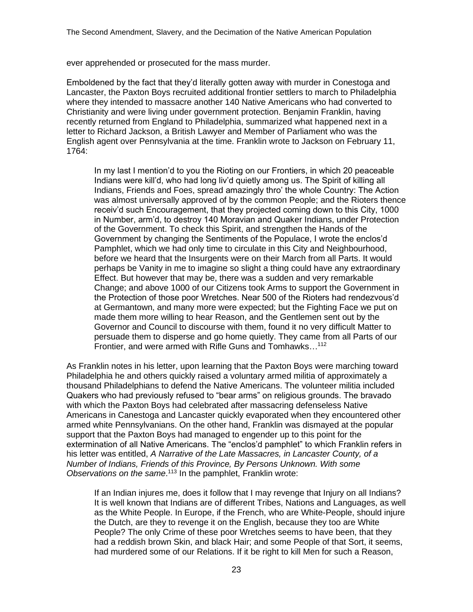ever apprehended or prosecuted for the mass murder.

Emboldened by the fact that they'd literally gotten away with murder in Conestoga and Lancaster, the Paxton Boys recruited additional frontier settlers to march to Philadelphia where they intended to massacre another 140 Native Americans who had converted to Christianity and were living under government protection. Benjamin Franklin, having recently returned from England to Philadelphia, summarized what happened next in a letter to Richard Jackson, a British Lawyer and Member of Parliament who was the English agent over Pennsylvania at the time. Franklin wrote to Jackson on February 11, 1764:

In my last I mention'd to you the Rioting on our Frontiers, in which 20 peaceable Indians were kill'd, who had long liv'd quietly among us. The Spirit of killing all Indians, Friends and Foes, spread amazingly thro' the whole Country: The Action was almost universally approved of by the common People; and the Rioters thence receiv'd such Encouragement, that they projected coming down to this City, 1000 in Number, arm'd, to destroy 140 Moravian and Quaker Indians, under Protection of the Government. To check this Spirit, and strengthen the Hands of the Government by changing the Sentiments of the Populace, I wrote the enclos'd Pamphlet, which we had only time to circulate in this City and Neighbourhood, before we heard that the Insurgents were on their March from all Parts. It would perhaps be Vanity in me to imagine so slight a thing could have any extraordinary Effect. But however that may be, there was a sudden and very remarkable Change; and above 1000 of our Citizens took Arms to support the Government in the Protection of those poor Wretches. Near 500 of the Rioters had rendezvous'd at Germantown, and many more were expected; but the Fighting Face we put on made them more willing to hear Reason, and the Gentlemen sent out by the Governor and Council to discourse with them, found it no very difficult Matter to persuade them to disperse and go home quietly. They came from all Parts of our Frontier, and were armed with Rifle Guns and Tomhawks...<sup>112</sup>

As Franklin notes in his letter, upon learning that the Paxton Boys were marching toward Philadelphia he and others quickly raised a voluntary armed militia of approximately a thousand Philadelphians to defend the Native Americans. The volunteer militia included Quakers who had previously refused to "bear arms" on religious grounds. The bravado with which the Paxton Boys had celebrated after massacring defenseless Native Americans in Canestoga and Lancaster quickly evaporated when they encountered other armed white Pennsylvanians. On the other hand, Franklin was dismayed at the popular support that the Paxton Boys had managed to engender up to this point for the extermination of all Native Americans. The "enclos'd pamphlet" to which Franklin refers in his letter was entitled, *A Narrative of the Late Massacres, in Lancaster County, of a Number of Indians, Friends of this Province, By Persons Unknown. With some Observations on the same*. <sup>113</sup> In the pamphlet, Franklin wrote:

If an Indian injures me, does it follow that I may revenge that Injury on all Indians? It is well known that Indians are of different Tribes, Nations and Languages, as well as the White People. In Europe, if the French, who are White-People, should injure the Dutch, are they to revenge it on the English, because they too are White People? The only Crime of these poor Wretches seems to have been, that they had a reddish brown Skin, and black Hair; and some People of that Sort, it seems, had murdered some of our Relations. If it be right to kill Men for such a Reason,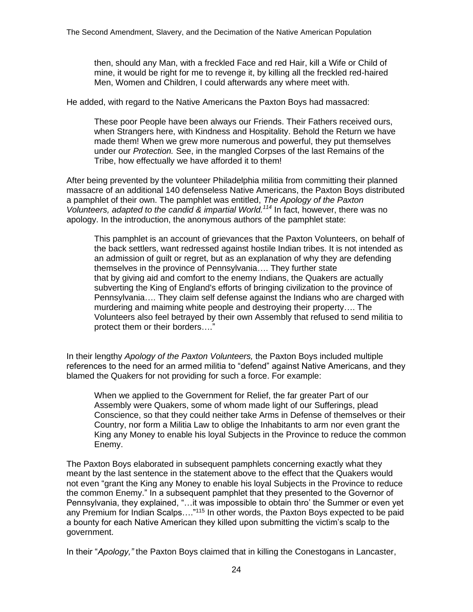then, should any Man, with a freckled Face and red Hair, kill a Wife or Child of mine, it would be right for me to revenge it, by killing all the freckled red-haired Men, Women and Children, I could afterwards any where meet with.

He added, with regard to the Native Americans the Paxton Boys had massacred:

These poor People have been always our Friends. Their Fathers received ours, when Strangers here, with Kindness and Hospitality. Behold the Return we have made them! When we grew more numerous and powerful, they put themselves under our *Protection.* See, in the mangled Corpses of the last Remains of the Tribe, how effectually we have afforded it to them!

After being prevented by the volunteer Philadelphia militia from committing their planned massacre of an additional 140 defenseless Native Americans, the Paxton Boys distributed a pamphlet of their own. The pamphlet was entitled, *The Apology of the Paxton Volunteers, adapted to the candid & impartial World. <sup>114</sup>* In fact, however, there was no apology. In the introduction, the anonymous authors of the pamphlet state:

This pamphlet is an account of grievances that the Paxton Volunteers, on behalf of the back settlers, want redressed against hostile Indian tribes. It is not intended as an admission of guilt or regret, but as an explanation of why they are defending themselves in the province of Pennsylvania…. They further state that by giving aid and comfort to the enemy Indians, the Quakers are actually subverting the King of England's efforts of bringing civilization to the province of Pennsylvania…. They claim self defense against the Indians who are charged with murdering and maiming white people and destroying their property…. The Volunteers also feel betrayed by their own Assembly that refused to send militia to protect them or their borders…."

In their lengthy *Apology of the Paxton Volunteers,* the Paxton Boys included multiple references to the need for an armed militia to "defend" against Native Americans, and they blamed the Quakers for not providing for such a force. For example:

When we applied to the Government for Relief, the far greater Part of our Assembly were Quakers, some of whom made light of our Sufferings, plead Conscience, so that they could neither take Arms in Defense of themselves or their Country, nor form a Militia Law to oblige the Inhabitants to arm nor even grant the King any Money to enable his loyal Subjects in the Province to reduce the common Enemy.

The Paxton Boys elaborated in subsequent pamphlets concerning exactly what they meant by the last sentence in the statement above to the effect that the Quakers would not even "grant the King any Money to enable his loyal Subjects in the Province to reduce the common Enemy." In a subsequent pamphlet that they presented to the Governor of Pennsylvania, they explained, "…it was impossible to obtain thro' the Summer or even yet any Premium for Indian Scalps...."<sup>115</sup> In other words, the Paxton Boys expected to be paid a bounty for each Native American they killed upon submitting the victim's scalp to the government.

In their "*Apology,"* the Paxton Boys claimed that in killing the Conestogans in Lancaster,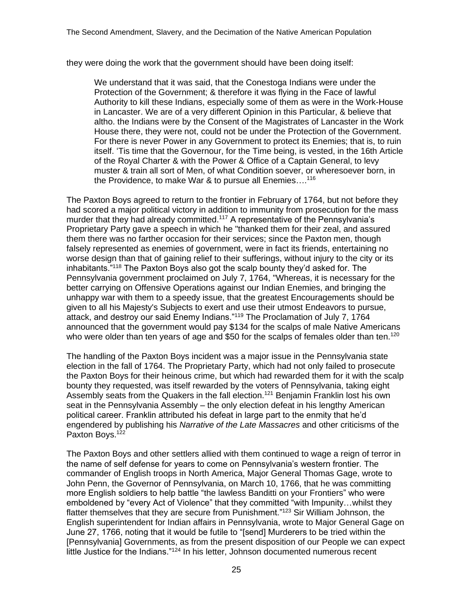they were doing the work that the government should have been doing itself:

We understand that it was said, that the Conestoga Indians were under the Protection of the Government; & therefore it was flying in the Face of lawful Authority to kill these Indians, especially some of them as were in the Work-House in Lancaster. We are of a very different Opinion in this Particular, & believe that altho. the Indians were by the Consent of the Magistrates of Lancaster in the Work House there, they were not, could not be under the Protection of the Government. For there is never Power in any Government to protect its Enemies; that is, to ruin itself. 'Tis time that the Governour, for the Time being, is vested, in the 16th Article of the Royal Charter & with the Power & Office of a Captain General, to levy muster & train all sort of Men, of what Condition soever, or wheresoever born, in the Providence, to make War & to pursue all Enemies…. 116

The Paxton Boys agreed to return to the frontier in February of 1764, but not before they had scored a major political victory in addition to immunity from prosecution for the mass murder that they had already committed.<sup>117</sup> A representative of the Pennsylvania's Proprietary Party gave a speech in which he "thanked them for their zeal, and assured them there was no farther occasion for their services; since the Paxton men, though falsely represented as enemies of government, were in fact its friends, entertaining no worse design than that of gaining relief to their sufferings, without injury to the city or its inhabitants."<sup>118</sup> The Paxton Boys also got the scalp bounty they'd asked for. The Pennsylvania government proclaimed on July 7, 1764, "Whereas, it is necessary for the better carrying on Offensive Operations against our Indian Enemies, and bringing the unhappy war with them to a speedy issue, that the greatest Encouragements should be given to all his Majesty's Subjects to exert and use their utmost Endeavors to pursue, attack, and destroy our said Enemy Indians."<sup>119</sup> The Proclamation of July 7, 1764 announced that the government would pay \$134 for the scalps of male Native Americans who were older than ten years of age and \$50 for the scalps of females older than ten.<sup>120</sup>

The handling of the Paxton Boys incident was a major issue in the Pennsylvania state election in the fall of 1764. The Proprietary Party, which had not only failed to prosecute the Paxton Boys for their heinous crime, but which had rewarded them for it with the scalp bounty they requested, was itself rewarded by the voters of Pennsylvania, taking eight Assembly seats from the Quakers in the fall election.<sup>121</sup> Benjamin Franklin lost his own seat in the Pennsylvania Assembly – the only election defeat in his lengthy American political career. Franklin attributed his defeat in large part to the enmity that he'd engendered by publishing his *Narrative of the Late Massacres* and other criticisms of the Paxton Boys.<sup>122</sup>

The Paxton Boys and other settlers allied with them continued to wage a reign of terror in the name of self defense for years to come on Pennsylvania's western frontier. The commander of English troops in North America, Major General Thomas Gage, wrote to John Penn, the Governor of Pennsylvania, on March 10, 1766, that he was committing more English soldiers to help battle "the lawless Banditti on your Frontiers" who were emboldened by "every Act of Violence" that they committed "with Impunity…whilst they flatter themselves that they are secure from Punishment."<sup>123</sup> Sir William Johnson, the English superintendent for Indian affairs in Pennsylvania, wrote to Major General Gage on June 27, 1766, noting that it would be futile to "[send] Murderers to be tried within the [Pennsylvania] Governments, as from the present disposition of our People we can expect little Justice for the Indians."<sup>124</sup> In his letter, Johnson documented numerous recent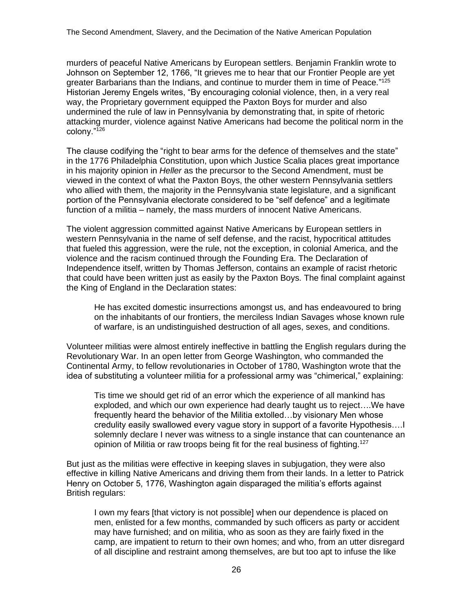murders of peaceful Native Americans by European settlers. Benjamin Franklin wrote to Johnson on September 12, 1766, "It grieves me to hear that our Frontier People are yet greater Barbarians than the Indians, and continue to murder them in time of Peace."<sup>125</sup> Historian Jeremy Engels writes, "By encouraging colonial violence, then, in a very real way, the Proprietary government equipped the Paxton Boys for murder and also undermined the rule of law in Pennsylvania by demonstrating that, in spite of rhetoric attacking murder, violence against Native Americans had become the political norm in the colony."<sup>126</sup>

The clause codifying the "right to bear arms for the defence of themselves and the state" in the 1776 Philadelphia Constitution, upon which Justice Scalia places great importance in his majority opinion in *Heller* as the precursor to the Second Amendment, must be viewed in the context of what the Paxton Boys, the other western Pennsylvania settlers who allied with them, the majority in the Pennsylvania state legislature, and a significant portion of the Pennsylvania electorate considered to be "self defence" and a legitimate function of a militia – namely, the mass murders of innocent Native Americans.

The violent aggression committed against Native Americans by European settlers in western Pennsylvania in the name of self defense, and the racist, hypocritical attitudes that fueled this aggression, were the rule, not the exception, in colonial America, and the violence and the racism continued through the Founding Era. The Declaration of Independence itself, written by Thomas Jefferson, contains an example of racist rhetoric that could have been written just as easily by the Paxton Boys. The final complaint against the King of England in the Declaration states:

He has excited domestic insurrections amongst us, and has endeavoured to bring on the inhabitants of our frontiers, the merciless Indian Savages whose known rule of warfare, is an undistinguished destruction of all ages, sexes, and conditions.

Volunteer militias were almost entirely ineffective in battling the English regulars during the Revolutionary War. In an open letter from George Washington, who commanded the Continental Army, to fellow revolutionaries in October of 1780, Washington wrote that the idea of substituting a volunteer militia for a professional army was "chimerical," explaining:

Tis time we should get rid of an error which the experience of all mankind has exploded, and which our own experience had dearly taught us to reject….We have frequently heard the behavior of the Militia extolled…by visionary Men whose credulity easily swallowed every vague story in support of a favorite Hypothesis….I solemnly declare I never was witness to a single instance that can countenance an opinion of Militia or raw troops being fit for the real business of fighting.<sup>127</sup>

But just as the militias were effective in keeping slaves in subjugation, they were also effective in killing Native Americans and driving them from their lands. In a letter to Patrick Henry on October 5, 1776, Washington again disparaged the militia's efforts against British regulars:

I own my fears [that victory is not possible] when our dependence is placed on men, enlisted for a few months, commanded by such officers as party or accident may have furnished; and on militia, who as soon as they are fairly fixed in the camp, are impatient to return to their own homes; and who, from an utter disregard of all discipline and restraint among themselves, are but too apt to infuse the like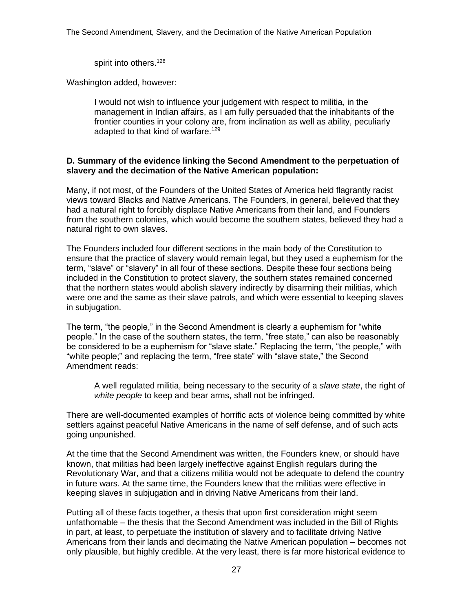spirit into others.<sup>128</sup>

Washington added, however:

I would not wish to influence your judgement with respect to militia, in the management in Indian affairs, as I am fully persuaded that the inhabitants of the frontier counties in your colony are, from inclination as well as ability, peculiarly adapted to that kind of warfare.<sup>129</sup>

## **D. Summary of the evidence linking the Second Amendment to the perpetuation of slavery and the decimation of the Native American population:**

Many, if not most, of the Founders of the United States of America held flagrantly racist views toward Blacks and Native Americans. The Founders, in general, believed that they had a natural right to forcibly displace Native Americans from their land, and Founders from the southern colonies, which would become the southern states, believed they had a natural right to own slaves.

The Founders included four different sections in the main body of the Constitution to ensure that the practice of slavery would remain legal, but they used a euphemism for the term, "slave" or "slavery" in all four of these sections. Despite these four sections being included in the Constitution to protect slavery, the southern states remained concerned that the northern states would abolish slavery indirectly by disarming their militias, which were one and the same as their slave patrols, and which were essential to keeping slaves in subjugation.

The term, "the people," in the Second Amendment is clearly a euphemism for "white people." In the case of the southern states, the term, "free state," can also be reasonably be considered to be a euphemism for "slave state." Replacing the term, "the people," with "white people;" and replacing the term, "free state" with "slave state," the Second Amendment reads:

A well regulated militia, being necessary to the security of a *slave state*, the right of *white people* to keep and bear arms, shall not be infringed.

There are well-documented examples of horrific acts of violence being committed by white settlers against peaceful Native Americans in the name of self defense, and of such acts going unpunished.

At the time that the Second Amendment was written, the Founders knew, or should have known, that militias had been largely ineffective against English regulars during the Revolutionary War, and that a citizens militia would not be adequate to defend the country in future wars. At the same time, the Founders knew that the militias were effective in keeping slaves in subjugation and in driving Native Americans from their land.

Putting all of these facts together, a thesis that upon first consideration might seem unfathomable – the thesis that the Second Amendment was included in the Bill of Rights in part, at least, to perpetuate the institution of slavery and to facilitate driving Native Americans from their lands and decimating the Native American population – becomes not only plausible, but highly credible. At the very least, there is far more historical evidence to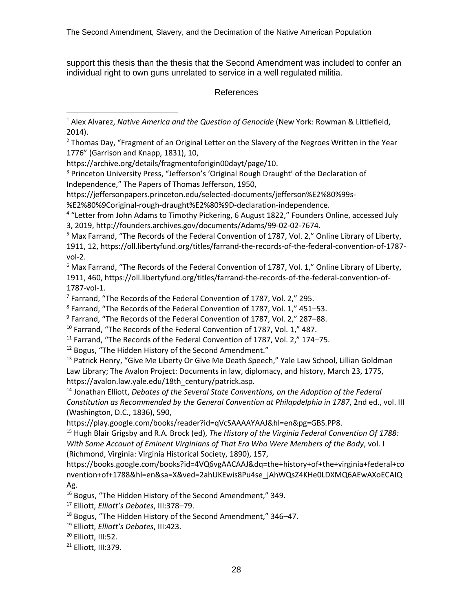support this thesis than the thesis that the Second Amendment was included to confer an individual right to own guns unrelated to service in a well regulated militia.

#### References

https://archive.org/details/fragmentoforigin00dayt/page/10.

<sup>3</sup> Princeton University Press, "Jefferson's 'Original Rough Draught' of the Declaration of Independence," The Papers of Thomas Jefferson, 1950,

https://jeffersonpapers.princeton.edu/selected-documents/jefferson%E2%80%99s-

%E2%80%9Coriginal-rough-draught%E2%80%9D-declaration-independence.

<sup>4</sup> "Letter from John Adams to Timothy Pickering, 6 August 1822," Founders Online, accessed July 3, 2019, http://founders.archives.gov/documents/Adams/99-02-02-7674.

<sup>5</sup> Max Farrand, "The Records of the Federal Convention of 1787, Vol. 2," Online Library of Liberty, 1911, 12, https://oll.libertyfund.org/titles/farrand-the-records-of-the-federal-convention-of-1787 vol-2.

 $6$  Max Farrand, "The Records of the Federal Convention of 1787, Vol. 1," Online Library of Liberty, 1911, 460, https://oll.libertyfund.org/titles/farrand-the-records-of-the-federal-convention-of-1787-vol-1.

<sup>7</sup> Farrand, "The Records of the Federal Convention of 1787, Vol. 2," 295.

<sup>8</sup> Farrand, "The Records of the Federal Convention of 1787, Vol. 1," 451–53.

<sup>9</sup> Farrand, "The Records of the Federal Convention of 1787, Vol. 2," 287–88.

<sup>10</sup> Farrand, "The Records of the Federal Convention of 1787, Vol. 1," 487.

<sup>11</sup> Farrand, "The Records of the Federal Convention of 1787, Vol. 2," 174-75.

<sup>12</sup> Bogus, "The Hidden History of the Second Amendment."

<sup>13</sup> Patrick Henry, "Give Me Liberty Or Give Me Death Speech," Yale Law School, Lillian Goldman Law Library; The Avalon Project: Documents in law, diplomacy, and history, March 23, 1775, https://avalon.law.yale.edu/18th\_century/patrick.asp.

<sup>14</sup> Jonathan Elliott, *Debates of the Several State Conventions, on the Adoption of the Federal Constitution as Recommended by the General Convention at Philapdelphia in 1787*, 2nd ed., vol. III (Washington, D.C., 1836), 590,

https://play.google.com/books/reader?id=qVcSAAAAYAAJ&hl=en&pg=GBS.PP8.

<sup>15</sup> Hugh Blair Grigsby and R.A. Brock (ed), *The History of the Virginia Federal Convention Of 1788: With Some Account of Eminent Virginians of That Era Who Were Members of the Body*, vol. I (Richmond, Virginia: Virginia Historical Society, 1890), 157,

https://books.google.com/books?id=4VQ6vgAACAAJ&dq=the+history+of+the+virginia+federal+co nvention+of+1788&hl=en&sa=X&ved=2ahUKEwis8Pu4se\_jAhWQsZ4KHe0LDXMQ6AEwAXoECAIQ Ag.

<sup>16</sup> Bogus, "The Hidden History of the Second Amendment," 349.

<sup>17</sup> Elliott, *Elliott's Debates*, III:378–79.

<sup>18</sup> Bogus, "The Hidden History of the Second Amendment," 346–47.

<sup>19</sup> Elliott, *Elliott's Debates*, III:423.

<sup>20</sup> Elliott, III:52.

<sup>21</sup> Elliott, III:379.

<sup>1</sup> Alex Alvarez, *Native America and the Question of Genocide* (New York: Rowman & Littlefield, 2014).

<sup>&</sup>lt;sup>2</sup> Thomas Day, "Fragment of an Original Letter on the Slavery of the Negroes Written in the Year 1776" (Garrison and Knapp, 1831), 10,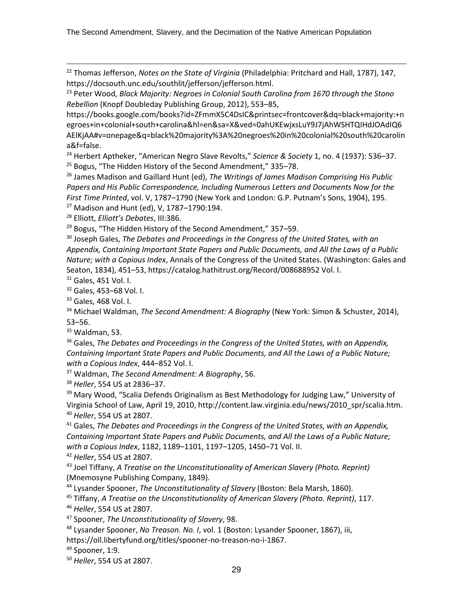<sup>22</sup> Thomas Jefferson, *Notes on the State of Virginia* (Philadelphia: Pritchard and Hall, 1787), 147, https://docsouth.unc.edu/southlit/jefferson/jefferson.html.

<sup>23</sup> Peter Wood, *Black Majority: Negroes in Colonial South Carolina from 1670 through the Stono Rebellion* (Knopf Doubleday Publishing Group, 2012), 553–85,

https://books.google.com/books?id=ZFmmX5C4DsIC&printsec=frontcover&dq=black+majority:+n egroes+in+colonial+south+carolina&hl=en&sa=X&ved=0ahUKEwjxsLuY9J7jAhWSHTQIHdJOAdIQ6 AEIKjAA#v=onepage&q=black%20majority%3A%20negroes%20in%20colonial%20south%20carolin a&f=false.

<sup>24</sup> Herbert Aptheker, "American Negro Slave Revolts," *Science & Society* 1, no. 4 (1937): 536–37. <sup>25</sup> Bogus, "The Hidden History of the Second Amendment," 335–78.

<sup>26</sup> James Madison and Gaillard Hunt (ed), *The Writings of James Madison Comprising His Public Papers and His Public Correspondence, Including Numerous Letters and Documents Now for the First Time Printed*, vol. V, 1787–1790 (New York and London: G.P. Putnam's Sons, 1904), 195. <sup>27</sup> Madison and Hunt (ed), V, 1787–1790:194.

<sup>28</sup> Elliott, *Elliott's Debates*, III:386.

<sup>29</sup> Bogus, "The Hidden History of the Second Amendment," 357-59.

<sup>30</sup> Joseph Gales, *The Debates and Proceedings in the Congress of the United States, with an Appendix, Containing Important State Papers and Public Documents, and All the Laws of a Public Nature; with a Copious Index*, Annals of the Congress of the United States. (Washington: Gales and Seaton, 1834), 451–53, https://catalog.hathitrust.org/Record/008688952 Vol. I.

<sup>31</sup> Gales, 451 Vol. I.

<sup>32</sup> Gales, 453–68 Vol. I.

<sup>33</sup> Gales, 468 Vol. I.

<sup>34</sup> Michael Waldman, *The Second Amendment: A Biography* (New York: Simon & Schuster, 2014), 53–56.

 $35$  Waldman, 53.

<sup>36</sup> Gales, *The Debates and Proceedings in the Congress of the United States, with an Appendix, Containing Important State Papers and Public Documents, and All the Laws of a Public Nature; with a Copious Index*, 444–852 Vol. I.

<sup>37</sup> Waldman, *The Second Amendment: A Biography*, 56.

<sup>38</sup> *Heller*, 554 US at 2836–37.

<sup>39</sup> Mary Wood, "Scalia Defends Originalism as Best Methodology for Judging Law," University of Virginia School of Law, April 19, 2010, http://content.law.virginia.edu/news/2010\_spr/scalia.htm. <sup>40</sup> *Heller*, 554 US at 2807.

<sup>41</sup> Gales, *The Debates and Proceedings in the Congress of the United States, with an Appendix, Containing Important State Papers and Public Documents, and All the Laws of a Public Nature; with a Copious Index*, 1182, 1189–1101, 1197–1205, 1450–71 Vol. II.

<sup>42</sup> *Heller*, 554 US at 2807.

<sup>43</sup> Joel Tiffany, *A Treatise on the Unconstitutionality of American Slavery (Photo. Reprint)* (Mnemosyne Publishing Company, 1849).

<sup>44</sup> Lysander Spooner, *The Unconstitutionality of Slavery* (Boston: Bela Marsh, 1860).

<sup>45</sup> Tiffany, *A Treatise on the Unconstitutionality of American Slavery (Photo. Reprint)*, 117.

<sup>46</sup> *Heller*, 554 US at 2807.

<sup>47</sup> Spooner, *The Unconstitutionality of Slavery*, 98.

<sup>48</sup> Lysander Spooner, *No Treason. No. I*, vol. 1 (Boston: Lysander Spooner, 1867), iii,

https://oll.libertyfund.org/titles/spooner-no-treason-no-i-1867.

49 Spooner, 1:9.

<sup>50</sup> *Heller*, 554 US at 2807.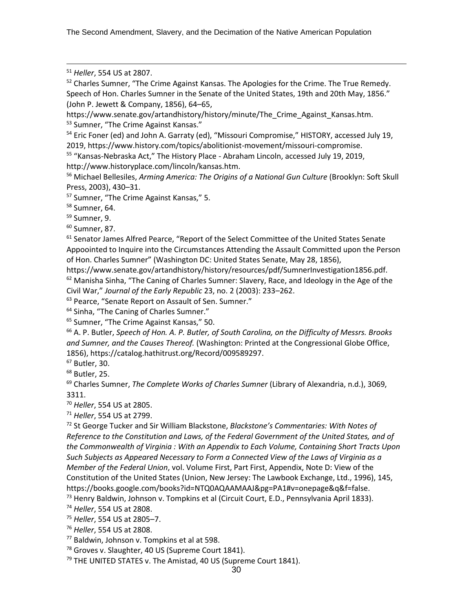The Second Amendment, Slavery, and the Decimation of the Native American Population

<sup>51</sup> *Heller*, 554 US at 2807.

<sup>52</sup> Charles Sumner, "The Crime Against Kansas. The Apologies for the Crime. The True Remedy. Speech of Hon. Charles Sumner in the Senate of the United States, 19th and 20th May, 1856." (John P. Jewett & Company, 1856), 64–65,

https://www.senate.gov/artandhistory/history/minute/The Crime Against Kansas.htm. <sup>53</sup> Sumner, "The Crime Against Kansas."

<sup>54</sup> Eric Foner (ed) and John A. Garraty (ed), "Missouri Compromise," HISTORY, accessed July 19, 2019, https://www.history.com/topics/abolitionist-movement/missouri-compromise.

<sup>55</sup> "Kansas-Nebraska Act," The History Place - Abraham Lincoln, accessed July 19, 2019, http://www.historyplace.com/lincoln/kansas.htm.

<sup>56</sup> Michael Bellesiles, *Arming America: The Origins of a National Gun Culture* (Brooklyn: Soft Skull Press, 2003), 430–31.

<sup>57</sup> Sumner, "The Crime Against Kansas," 5.

<sup>58</sup> Sumner, 64.

<sup>59</sup> Sumner, 9.

 $60$  Sumner, 87.

 $61$  Senator James Alfred Pearce, "Report of the Select Committee of the United States Senate Appoointed to Inquire into the Circumstances Attending the Assault Committed upon the Person of Hon. Charles Sumner" (Washington DC: United States Senate, May 28, 1856),

https://www.senate.gov/artandhistory/history/resources/pdf/SumnerInvestigation1856.pdf.  $62$  Manisha Sinha, "The Caning of Charles Sumner: Slavery, Race, and Ideology in the Age of the Civil War," *Journal of the Early Republic* 23, no. 2 (2003): 233–262.

<sup>63</sup> Pearce, "Senate Report on Assault of Sen. Sumner."

<sup>64</sup> Sinha, "The Caning of Charles Sumner."

<sup>65</sup> Sumner, "The Crime Against Kansas," 50.

<sup>66</sup> A. P. Butler, *Speech of Hon. A. P. Butler, of South Carolina, on the Difficulty of Messrs. Brooks and Sumner, and the Causes Thereof.* (Washington: Printed at the Congressional Globe Office, 1856), https://catalog.hathitrust.org/Record/009589297.

<sup>67</sup> Butler, 30.

<sup>68</sup> Butler, 25.

<sup>69</sup> Charles Sumner, *The Complete Works of Charles Sumner* (Library of Alexandria, n.d.), 3069, 3311.

<sup>70</sup> *Heller*, 554 US at 2805.

<sup>71</sup> *Heller*, 554 US at 2799.

<sup>72</sup> St George Tucker and Sir William Blackstone, *Blackstone's Commentaries: With Notes of Reference to the Constitution and Laws, of the Federal Government of the United States, and of the Commonwealth of Virginia : With an Appendix to Each Volume, Containing Short Tracts Upon Such Subjects as Appeared Necessary to Form a Connected View of the Laws of Virginia as a Member of the Federal Union*, vol. Volume First, Part First, Appendix, Note D: View of the Constitution of the United States (Union, New Jersey: The Lawbook Exchange, Ltd., 1996), 145, https://books.google.com/books?id=NTQ0AQAAMAAJ&pg=PA1#v=onepage&q&f=false.

<sup>73</sup> Henry Baldwin, Johnson v. Tompkins et al (Circuit Court, E.D., Pennsylvania April 1833).

<sup>74</sup> *Heller*, 554 US at 2808.

<sup>75</sup> *Heller*, 554 US at 2805–7.

<sup>76</sup> *Heller*, 554 US at 2808.

<sup>77</sup> Baldwin, Johnson v. Tompkins et al at 598.

<sup>78</sup> Groves v. Slaughter, 40 US (Supreme Court 1841).

<sup>79</sup> THE UNITED STATES v. The Amistad, 40 US (Supreme Court 1841).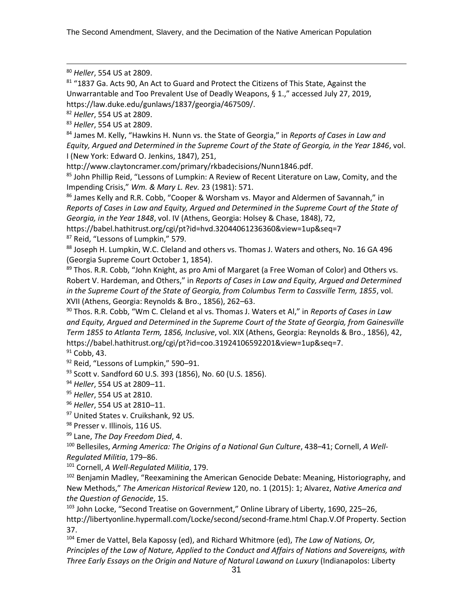The Second Amendment, Slavery, and the Decimation of the Native American Population

<sup>80</sup> *Heller*, 554 US at 2809.

81 "1837 Ga. Acts 90, An Act to Guard and Protect the Citizens of This State, Against the Unwarrantable and Too Prevalent Use of Deadly Weapons, § 1.," accessed July 27, 2019, https://law.duke.edu/gunlaws/1837/georgia/467509/.

<sup>82</sup> *Heller*, 554 US at 2809.

<sup>83</sup> *Heller*, 554 US at 2809.

<sup>84</sup> James M. Kelly, "Hawkins H. Nunn vs. the State of Georgia," in *Reports of Cases in Law and Equity, Argued and Determined in the Supreme Court of the State of Georgia, in the Year 1846*, vol. I (New York: Edward O. Jenkins, 1847), 251,

http://www.claytoncramer.com/primary/rkbadecisions/Nunn1846.pdf.

<sup>85</sup> John Phillip Reid, "Lessons of Lumpkin: A Review of Recent Literature on Law, Comity, and the Impending Crisis," *Wm. & Mary L. Rev.* 23 (1981): 571.

<sup>86</sup> James Kelly and R.R. Cobb, "Cooper & Worsham vs. Mayor and Aldermen of Savannah," in *Reports of Cases in Law and Equity, Argued and Determined in the Supreme Court of the State of Georgia, in the Year 1848*, vol. IV (Athens, Georgia: Holsey & Chase, 1848), 72,

https://babel.hathitrust.org/cgi/pt?id=hvd.32044061236360&view=1up&seq=7 87 Reid, "Lessons of Lumpkin," 579.

88 Joseph H. Lumpkin, W.C. Cleland and others vs. Thomas J. Waters and others, No. 16 GA 496 (Georgia Supreme Court October 1, 1854).

89 Thos. R.R. Cobb, "John Knight, as pro Ami of Margaret (a Free Woman of Color) and Others vs. Robert V. Hardeman, and Others," in *Reports of Cases in Law and Equity, Argued and Determined in the Supreme Court of the State of Georgia, from Columbus Term to Cassville Term, 1855*, vol. XVII (Athens, Georgia: Reynolds & Bro., 1856), 262–63.

<sup>90</sup> Thos. R.R. Cobb, "Wm C. Cleland et al vs. Thomas J. Waters et Al," in *Reports of Cases in Law and Equity, Argued and Determined in the Supreme Court of the State of Georgia, from Gainesville Term 1855 to Atlanta Term, 1856, Inclusive*, vol. XIX (Athens, Georgia: Reynolds & Bro., 1856), 42, https://babel.hathitrust.org/cgi/pt?id=coo.31924106592201&view=1up&seq=7.

 $91$  Cobb, 43.

92 Reid, "Lessons of Lumpkin," 590-91.

93 Scott v. Sandford 60 U.S. 393 (1856), No. 60 (U.S. 1856).

<sup>94</sup> *Heller*, 554 US at 2809–11.

<sup>95</sup> *Heller*, 554 US at 2810.

<sup>96</sup> *Heller*, 554 US at 2810–11.

97 United States v. Cruikshank, 92 US.

98 Presser v. Illinois, 116 US.

<sup>99</sup> Lane, *The Day Freedom Died*, 4.

<sup>100</sup> Bellesiles, *Arming America: The Origins of a National Gun Culture*, 438–41; Cornell, *A Well-Regulated Militia*, 179–86.

<sup>101</sup> Cornell, *A Well-Regulated Militia*, 179.

<sup>102</sup> Benjamin Madley, "Reexamining the American Genocide Debate: Meaning, Historiography, and New Methods," *The American Historical Review* 120, no. 1 (2015): 1; Alvarez, *Native America and the Question of Genocide*, 15.

<sup>103</sup> John Locke, "Second Treatise on Government," Online Library of Liberty, 1690, 225-26, http://libertyonline.hypermall.com/Locke/second/second-frame.html Chap.V.Of Property. Section 37.

<sup>104</sup> Emer de Vattel, Bela Kapossy (ed), and Richard Whitmore (ed), *The Law of Nations, Or, Principles of the Law of Nature, Applied to the Conduct and Affairs of Nations and Sovereigns, with Three Early Essays on the Origin and Nature of Natural Lawand on Luxury* (Indianapolos: Liberty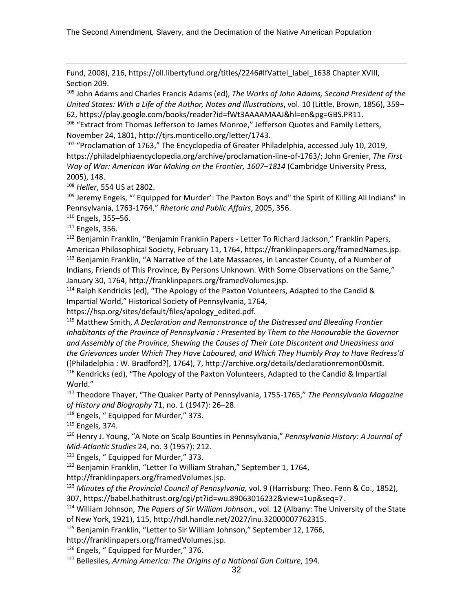Fund, 2008), 216, https://oll.libertyfund.org/titles/2246#lfVattel\_label\_1638 Chapter XVIII, Section 209.

<sup>105</sup> John Adams and Charles Francis Adams (ed), *The Works of John Adams, Second President of the United States: With a Life of the Author, Notes and Illustrations*, vol. 10 (Little, Brown, 1856), 359– 62, https://play.google.com/books/reader?id=fWt3AAAAMAAJ&hl=en&pg=GBS.PR11.

<sup>106</sup> "Extract from Thomas Jefferson to James Monroe," Jefferson Quotes and Family Letters, November 24, 1801, http://tjrs.monticello.org/letter/1743.

<sup>107</sup> "Proclamation of 1763," The Encyclopedia of Greater Philadelphia, accessed July 10, 2019, https://philadelphiaencyclopedia.org/archive/proclamation-line-of-1763/; John Grenier, *The First Way of War: American War Making on the Frontier, 1607–1814* (Cambridge University Press, 2005), 148.

<sup>108</sup> *Heller*, 554 US at 2802.

<sup>109</sup> Jeremy Engels, "' Equipped for Murder': The Paxton Boys and" the Spirit of Killing All Indians" in Pennsylvania, 1763-1764," *Rhetoric and Public Affairs*, 2005, 356.

<sup>110</sup> Engels, 355–56.

<sup>111</sup> Engels, 356.

<sup>112</sup> Benjamin Franklin, "Benjamin Franklin Papers - Letter To Richard Jackson," Franklin Papers, American Philosophical Society, February 11, 1764, https://franklinpapers.org/framedNames.jsp. <sup>113</sup> Benjamin Franklin, "A Narrative of the Late Massacres, in Lancaster County, of a Number of Indians, Friends of This Province, By Persons Unknown. With Some Observations on the Same," January 30, 1764, http://franklinpapers.org/framedVolumes.jsp.

 $114$  Ralph Kendricks (ed), "The Apology of the Paxton Volunteers, Adapted to the Candid & Impartial World," Historical Society of Pennsylvania, 1764,

https://hsp.org/sites/default/files/apology\_edited.pdf.

<sup>115</sup> Matthew Smith, *A Declaration and Remonstrance of the Distressed and Bleeding Frontier Inhabitants of the Province of Pennsylvania : Presented by Them to the Honourable the Governor and Assembly of the Province, Shewing the Causes of Their Late Discontent and Uneasiness and the Grievances under Which They Have Laboured, and Which They Humbly Pray to Have Redress'd* ([Philadelphia : W. Bradford?], 1764), 7, http://archive.org/details/declarationremon00smit. <sup>116</sup> Kendricks (ed), "The Apology of the Paxton Volunteers, Adapted to the Candid & Impartial World."

<sup>117</sup> Theodore Thayer, "The Quaker Party of Pennsylvania, 1755-1765," *The Pennsylvania Magazine of History and Biography* 71, no. 1 (1947): 26–28.

<sup>118</sup> Engels, " Equipped for Murder," 373.

<sup>119</sup> Engels, 374.

<sup>120</sup> Henry J. Young, "A Note on Scalp Bounties in Pennsylvania," *Pennsylvania History: A Journal of Mid-Atlantic Studies* 24, no. 3 (1957): 212.

 $121$  Engels, " Equipped for Murder," 373.

<sup>122</sup> Benjamin Franklin, "Letter To William Strahan," September 1, 1764,

http://franklinpapers.org/framedVolumes.jsp.

<sup>123</sup> *Minutes of the Provincial Council of Pennsylvania,* vol. 9 (Harrisburg: Theo. Fenn & Co., 1852),

307, https://babel.hathitrust.org/cgi/pt?id=wu.89063016232&view=1up&seq=7.

<sup>124</sup> William Johnson, *The Papers of Sir William Johnson.*, vol. 12 (Albany: The University of the State of New York, 1921), 115, http://hdl.handle.net/2027/inu.32000007762315.

<sup>125</sup> Benjamin Franklin, "Letter to Sir William Johnson," September 12, 1766,

http://franklinpapers.org/framedVolumes.jsp.

126 Engels, " Equipped for Murder," 376.

<sup>127</sup> Bellesiles, *Arming America: The Origins of a National Gun Culture*, 194.